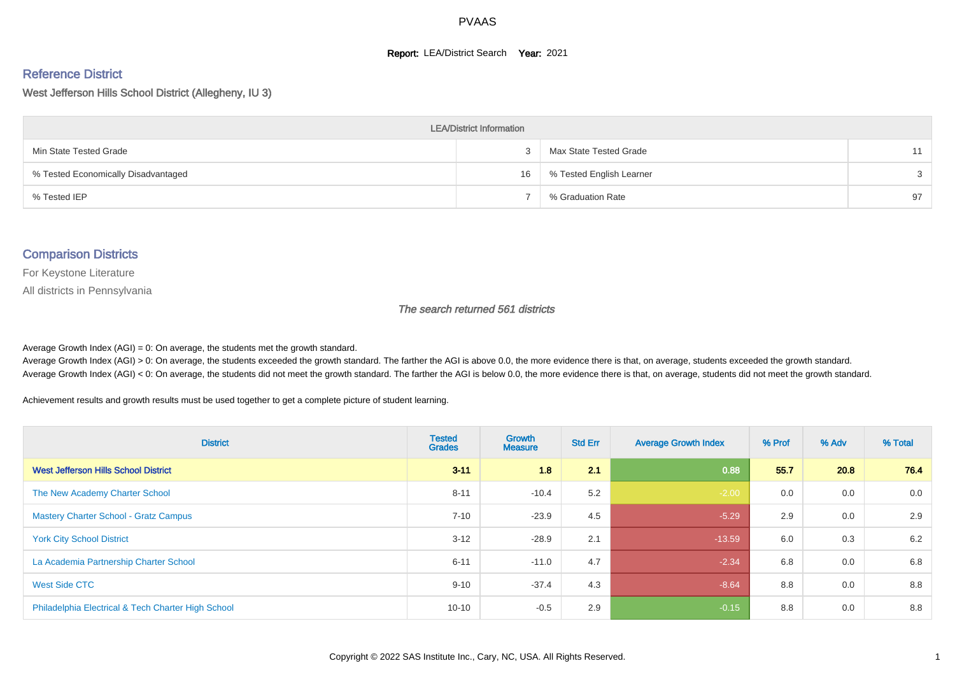#### **Report: LEA/District Search Year: 2021**

#### Reference District

West Jefferson Hills School District (Allegheny, IU 3)

| <b>LEA/District Information</b>     |    |                          |    |  |  |  |  |  |  |  |
|-------------------------------------|----|--------------------------|----|--|--|--|--|--|--|--|
| Min State Tested Grade              |    | Max State Tested Grade   | 11 |  |  |  |  |  |  |  |
| % Tested Economically Disadvantaged | 16 | % Tested English Learner | 3  |  |  |  |  |  |  |  |
| % Tested IEP                        |    | % Graduation Rate        | 97 |  |  |  |  |  |  |  |

#### Comparison Districts

For Keystone Literature

All districts in Pennsylvania

The search returned 561 districts

Average Growth Index  $(AGI) = 0$ : On average, the students met the growth standard.

Average Growth Index (AGI) > 0: On average, the students exceeded the growth standard. The farther the AGI is above 0.0, the more evidence there is that, on average, students exceeded the growth standard. Average Growth Index (AGI) < 0: On average, the students did not meet the growth standard. The farther the AGI is below 0.0, the more evidence there is that, on average, students did not meet the growth standard.

Achievement results and growth results must be used together to get a complete picture of student learning.

| <b>District</b>                                    | <b>Tested</b><br><b>Grades</b> | Growth<br><b>Measure</b> | <b>Std Err</b> | <b>Average Growth Index</b> | % Prof | % Adv | % Total |
|----------------------------------------------------|--------------------------------|--------------------------|----------------|-----------------------------|--------|-------|---------|
| <b>West Jefferson Hills School District</b>        | $3 - 11$                       | 1.8                      | 2.1            | 0.88                        | 55.7   | 20.8  | 76.4    |
| The New Academy Charter School                     | $8 - 11$                       | $-10.4$                  | 5.2            | $-2.00$                     | 0.0    | 0.0   | 0.0     |
| <b>Mastery Charter School - Gratz Campus</b>       | $7 - 10$                       | $-23.9$                  | 4.5            | $-5.29$                     | 2.9    | 0.0   | 2.9     |
| <b>York City School District</b>                   | $3 - 12$                       | $-28.9$                  | 2.1            | $-13.59$                    | 6.0    | 0.3   | 6.2     |
| La Academia Partnership Charter School             | $6 - 11$                       | $-11.0$                  | 4.7            | $-2.34$                     | 6.8    | 0.0   | 6.8     |
| West Side CTC                                      | $9 - 10$                       | $-37.4$                  | 4.3            | $-8.64$                     | 8.8    | 0.0   | 8.8     |
| Philadelphia Electrical & Tech Charter High School | $10 - 10$                      | $-0.5$                   | 2.9            | $-0.15$                     | 8.8    | 0.0   | 8.8     |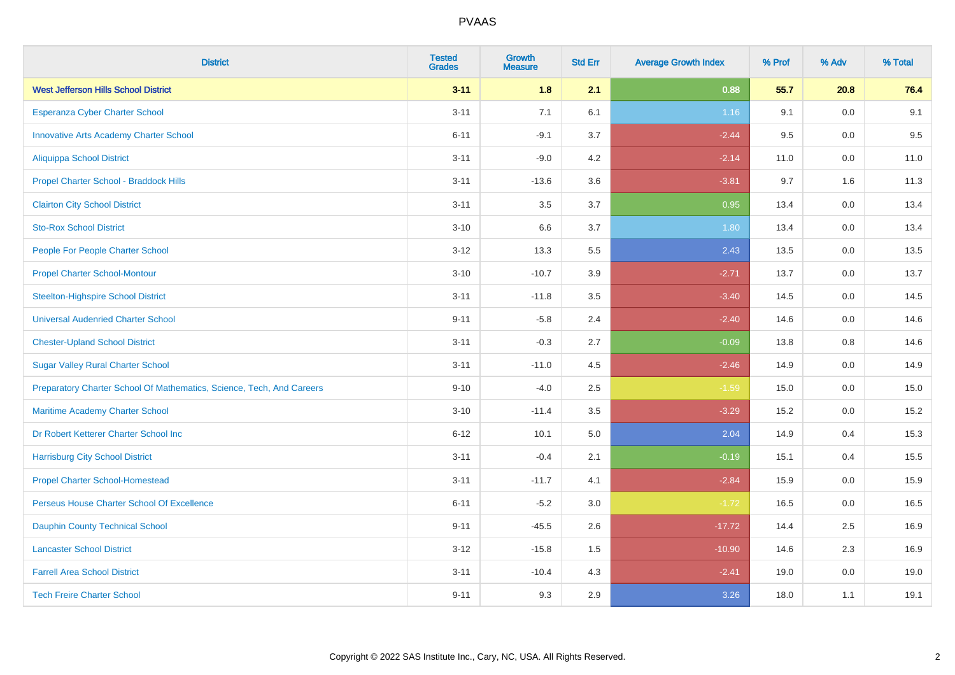| <b>District</b>                                                       | <b>Tested</b><br><b>Grades</b> | <b>Growth</b><br><b>Measure</b> | <b>Std Err</b> | <b>Average Growth Index</b> | % Prof | % Adv   | % Total |
|-----------------------------------------------------------------------|--------------------------------|---------------------------------|----------------|-----------------------------|--------|---------|---------|
| <b>West Jefferson Hills School District</b>                           | $3 - 11$                       | 1.8                             | 2.1            | 0.88                        | 55.7   | 20.8    | 76.4    |
| <b>Esperanza Cyber Charter School</b>                                 | $3 - 11$                       | 7.1                             | 6.1            | 1.16                        | 9.1    | 0.0     | 9.1     |
| <b>Innovative Arts Academy Charter School</b>                         | $6 - 11$                       | $-9.1$                          | 3.7            | $-2.44$                     | 9.5    | 0.0     | 9.5     |
| <b>Aliquippa School District</b>                                      | $3 - 11$                       | $-9.0$                          | 4.2            | $-2.14$                     | 11.0   | $0.0\,$ | 11.0    |
| Propel Charter School - Braddock Hills                                | $3 - 11$                       | $-13.6$                         | 3.6            | $-3.81$                     | 9.7    | 1.6     | 11.3    |
| <b>Clairton City School District</b>                                  | $3 - 11$                       | 3.5                             | 3.7            | 0.95                        | 13.4   | 0.0     | 13.4    |
| <b>Sto-Rox School District</b>                                        | $3 - 10$                       | 6.6                             | 3.7            | 1.80                        | 13.4   | 0.0     | 13.4    |
| People For People Charter School                                      | $3 - 12$                       | 13.3                            | 5.5            | 2.43                        | 13.5   | 0.0     | 13.5    |
| <b>Propel Charter School-Montour</b>                                  | $3 - 10$                       | $-10.7$                         | 3.9            | $-2.71$                     | 13.7   | 0.0     | 13.7    |
| <b>Steelton-Highspire School District</b>                             | $3 - 11$                       | $-11.8$                         | 3.5            | $-3.40$                     | 14.5   | $0.0\,$ | 14.5    |
| <b>Universal Audenried Charter School</b>                             | $9 - 11$                       | $-5.8$                          | 2.4            | $-2.40$                     | 14.6   | 0.0     | 14.6    |
| <b>Chester-Upland School District</b>                                 | $3 - 11$                       | $-0.3$                          | 2.7            | $-0.09$                     | 13.8   | 0.8     | 14.6    |
| <b>Sugar Valley Rural Charter School</b>                              | $3 - 11$                       | $-11.0$                         | 4.5            | $-2.46$                     | 14.9   | $0.0\,$ | 14.9    |
| Preparatory Charter School Of Mathematics, Science, Tech, And Careers | $9 - 10$                       | $-4.0$                          | 2.5            | $-1.59$                     | 15.0   | 0.0     | 15.0    |
| Maritime Academy Charter School                                       | $3 - 10$                       | $-11.4$                         | 3.5            | $-3.29$                     | 15.2   | 0.0     | 15.2    |
| Dr Robert Ketterer Charter School Inc                                 | $6 - 12$                       | 10.1                            | 5.0            | 2.04                        | 14.9   | 0.4     | 15.3    |
| <b>Harrisburg City School District</b>                                | $3 - 11$                       | $-0.4$                          | 2.1            | $-0.19$                     | 15.1   | 0.4     | 15.5    |
| <b>Propel Charter School-Homestead</b>                                | $3 - 11$                       | $-11.7$                         | 4.1            | $-2.84$                     | 15.9   | 0.0     | 15.9    |
| Perseus House Charter School Of Excellence                            | $6 - 11$                       | $-5.2$                          | 3.0            | $-1.72$                     | 16.5   | 0.0     | 16.5    |
| <b>Dauphin County Technical School</b>                                | $9 - 11$                       | $-45.5$                         | 2.6            | $-17.72$                    | 14.4   | 2.5     | 16.9    |
| <b>Lancaster School District</b>                                      | $3 - 12$                       | $-15.8$                         | 1.5            | $-10.90$                    | 14.6   | 2.3     | 16.9    |
| <b>Farrell Area School District</b>                                   | $3 - 11$                       | $-10.4$                         | 4.3            | $-2.41$                     | 19.0   | $0.0\,$ | 19.0    |
| <b>Tech Freire Charter School</b>                                     | $9 - 11$                       | 9.3                             | 2.9            | 3.26                        | 18.0   | 1.1     | 19.1    |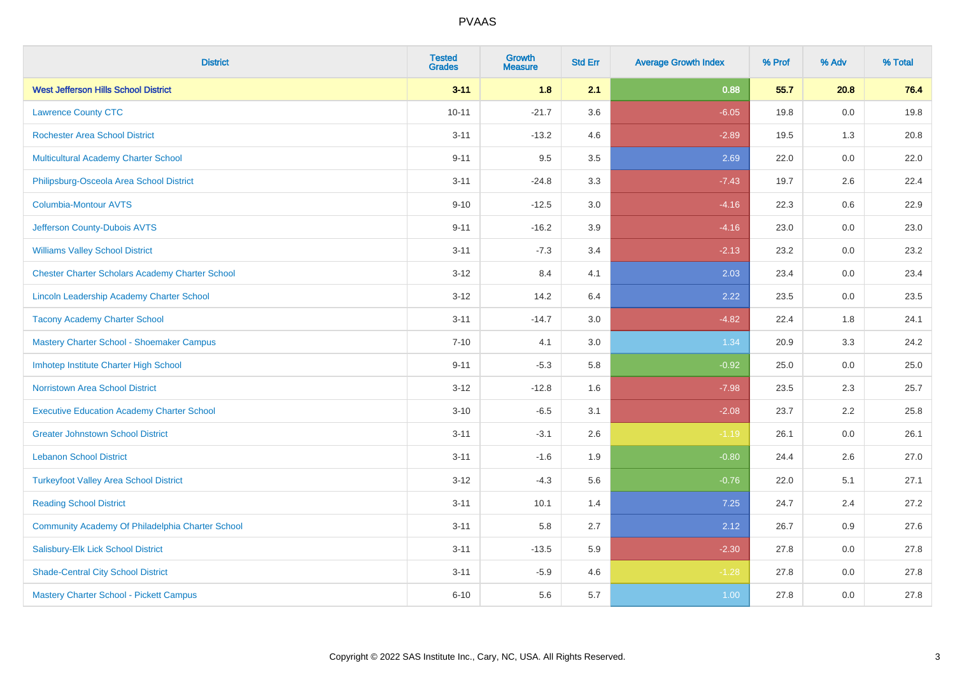| <b>District</b>                                        | <b>Tested</b><br><b>Grades</b> | <b>Growth</b><br><b>Measure</b> | <b>Std Err</b> | <b>Average Growth Index</b> | % Prof | % Adv   | % Total |
|--------------------------------------------------------|--------------------------------|---------------------------------|----------------|-----------------------------|--------|---------|---------|
| <b>West Jefferson Hills School District</b>            | $3 - 11$                       | 1.8                             | 2.1            | 0.88                        | 55.7   | 20.8    | 76.4    |
| <b>Lawrence County CTC</b>                             | $10 - 11$                      | $-21.7$                         | 3.6            | $-6.05$                     | 19.8   | $0.0\,$ | 19.8    |
| <b>Rochester Area School District</b>                  | $3 - 11$                       | $-13.2$                         | 4.6            | $-2.89$                     | 19.5   | 1.3     | 20.8    |
| Multicultural Academy Charter School                   | $9 - 11$                       | 9.5                             | 3.5            | 2.69                        | 22.0   | 0.0     | 22.0    |
| Philipsburg-Osceola Area School District               | $3 - 11$                       | $-24.8$                         | 3.3            | $-7.43$                     | 19.7   | 2.6     | 22.4    |
| <b>Columbia-Montour AVTS</b>                           | $9 - 10$                       | $-12.5$                         | 3.0            | $-4.16$                     | 22.3   | 0.6     | 22.9    |
| Jefferson County-Dubois AVTS                           | $9 - 11$                       | $-16.2$                         | 3.9            | $-4.16$                     | 23.0   | 0.0     | 23.0    |
| <b>Williams Valley School District</b>                 | $3 - 11$                       | $-7.3$                          | 3.4            | $-2.13$                     | 23.2   | 0.0     | 23.2    |
| <b>Chester Charter Scholars Academy Charter School</b> | $3 - 12$                       | 8.4                             | 4.1            | 2.03                        | 23.4   | 0.0     | 23.4    |
| Lincoln Leadership Academy Charter School              | $3 - 12$                       | 14.2                            | 6.4            | 2.22                        | 23.5   | 0.0     | 23.5    |
| <b>Tacony Academy Charter School</b>                   | $3 - 11$                       | $-14.7$                         | 3.0            | $-4.82$                     | 22.4   | 1.8     | 24.1    |
| Mastery Charter School - Shoemaker Campus              | $7 - 10$                       | 4.1                             | 3.0            | 1.34                        | 20.9   | 3.3     | 24.2    |
| Imhotep Institute Charter High School                  | $9 - 11$                       | $-5.3$                          | 5.8            | $-0.92$                     | 25.0   | $0.0\,$ | 25.0    |
| <b>Norristown Area School District</b>                 | $3 - 12$                       | $-12.8$                         | 1.6            | $-7.98$                     | 23.5   | 2.3     | 25.7    |
| <b>Executive Education Academy Charter School</b>      | $3 - 10$                       | $-6.5$                          | 3.1            | $-2.08$                     | 23.7   | 2.2     | 25.8    |
| <b>Greater Johnstown School District</b>               | $3 - 11$                       | $-3.1$                          | 2.6            | $-1.19$                     | 26.1   | $0.0\,$ | 26.1    |
| <b>Lebanon School District</b>                         | $3 - 11$                       | $-1.6$                          | 1.9            | $-0.80$                     | 24.4   | 2.6     | 27.0    |
| <b>Turkeyfoot Valley Area School District</b>          | $3 - 12$                       | $-4.3$                          | 5.6            | $-0.76$                     | 22.0   | 5.1     | 27.1    |
| <b>Reading School District</b>                         | $3 - 11$                       | 10.1                            | 1.4            | 7.25                        | 24.7   | 2.4     | 27.2    |
| Community Academy Of Philadelphia Charter School       | $3 - 11$                       | 5.8                             | 2.7            | 2.12                        | 26.7   | 0.9     | 27.6    |
| Salisbury-Elk Lick School District                     | $3 - 11$                       | $-13.5$                         | 5.9            | $-2.30$                     | 27.8   | 0.0     | 27.8    |
| <b>Shade-Central City School District</b>              | $3 - 11$                       | $-5.9$                          | 4.6            | $-1.28$                     | 27.8   | 0.0     | 27.8    |
| Mastery Charter School - Pickett Campus                | $6 - 10$                       | 5.6                             | 5.7            | 1.00                        | 27.8   | 0.0     | 27.8    |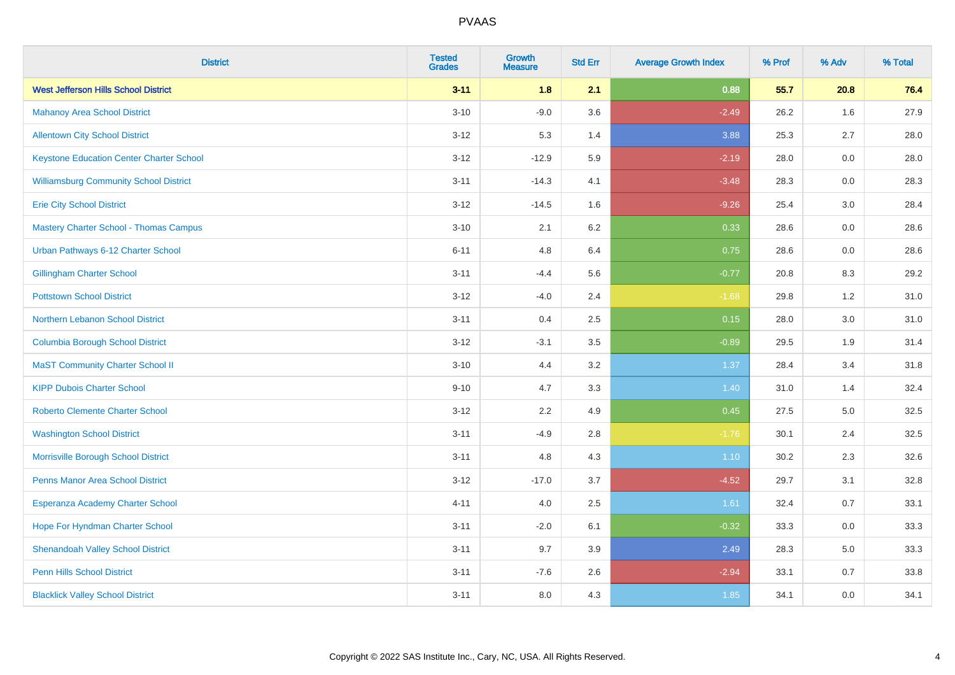| <b>District</b>                                 | <b>Tested</b><br><b>Grades</b> | <b>Growth</b><br><b>Measure</b> | <b>Std Err</b> | <b>Average Growth Index</b> | % Prof | % Adv | % Total |
|-------------------------------------------------|--------------------------------|---------------------------------|----------------|-----------------------------|--------|-------|---------|
| <b>West Jefferson Hills School District</b>     | $3 - 11$                       | 1.8                             | 2.1            | 0.88                        | 55.7   | 20.8  | 76.4    |
| <b>Mahanoy Area School District</b>             | $3 - 10$                       | $-9.0$                          | 3.6            | $-2.49$                     | 26.2   | 1.6   | 27.9    |
| <b>Allentown City School District</b>           | $3 - 12$                       | 5.3                             | 1.4            | 3.88                        | 25.3   | 2.7   | 28.0    |
| <b>Keystone Education Center Charter School</b> | $3 - 12$                       | $-12.9$                         | 5.9            | $-2.19$                     | 28.0   | 0.0   | 28.0    |
| <b>Williamsburg Community School District</b>   | $3 - 11$                       | $-14.3$                         | 4.1            | $-3.48$                     | 28.3   | 0.0   | 28.3    |
| <b>Erie City School District</b>                | $3 - 12$                       | $-14.5$                         | 1.6            | $-9.26$                     | 25.4   | 3.0   | 28.4    |
| <b>Mastery Charter School - Thomas Campus</b>   | $3 - 10$                       | 2.1                             | 6.2            | 0.33                        | 28.6   | 0.0   | 28.6    |
| Urban Pathways 6-12 Charter School              | $6 - 11$                       | 4.8                             | 6.4            | 0.75                        | 28.6   | 0.0   | 28.6    |
| <b>Gillingham Charter School</b>                | $3 - 11$                       | $-4.4$                          | 5.6            | $-0.77$                     | 20.8   | 8.3   | 29.2    |
| <b>Pottstown School District</b>                | $3 - 12$                       | $-4.0$                          | 2.4            | $-1.68$                     | 29.8   | 1.2   | 31.0    |
| Northern Lebanon School District                | $3 - 11$                       | 0.4                             | 2.5            | 0.15                        | 28.0   | 3.0   | 31.0    |
| <b>Columbia Borough School District</b>         | $3 - 12$                       | $-3.1$                          | 3.5            | $-0.89$                     | 29.5   | 1.9   | 31.4    |
| <b>MaST Community Charter School II</b>         | $3 - 10$                       | 4.4                             | 3.2            | 1.37                        | 28.4   | 3.4   | 31.8    |
| <b>KIPP Dubois Charter School</b>               | $9 - 10$                       | 4.7                             | 3.3            | 1.40                        | 31.0   | 1.4   | 32.4    |
| <b>Roberto Clemente Charter School</b>          | $3 - 12$                       | 2.2                             | 4.9            | 0.45                        | 27.5   | 5.0   | 32.5    |
| <b>Washington School District</b>               | $3 - 11$                       | $-4.9$                          | 2.8            | $-1.76$                     | 30.1   | 2.4   | 32.5    |
| Morrisville Borough School District             | $3 - 11$                       | 4.8                             | 4.3            | $1.10$                      | 30.2   | 2.3   | 32.6    |
| Penns Manor Area School District                | $3 - 12$                       | $-17.0$                         | 3.7            | $-4.52$                     | 29.7   | 3.1   | 32.8    |
| Esperanza Academy Charter School                | $4 - 11$                       | 4.0                             | 2.5            | 1.61                        | 32.4   | 0.7   | 33.1    |
| Hope For Hyndman Charter School                 | $3 - 11$                       | $-2.0$                          | 6.1            | $-0.32$                     | 33.3   | 0.0   | 33.3    |
| <b>Shenandoah Valley School District</b>        | $3 - 11$                       | 9.7                             | 3.9            | 2.49                        | 28.3   | 5.0   | 33.3    |
| <b>Penn Hills School District</b>               | $3 - 11$                       | $-7.6$                          | 2.6            | $-2.94$                     | 33.1   | 0.7   | 33.8    |
| <b>Blacklick Valley School District</b>         | $3 - 11$                       | 8.0                             | 4.3            | 1.85                        | 34.1   | 0.0   | 34.1    |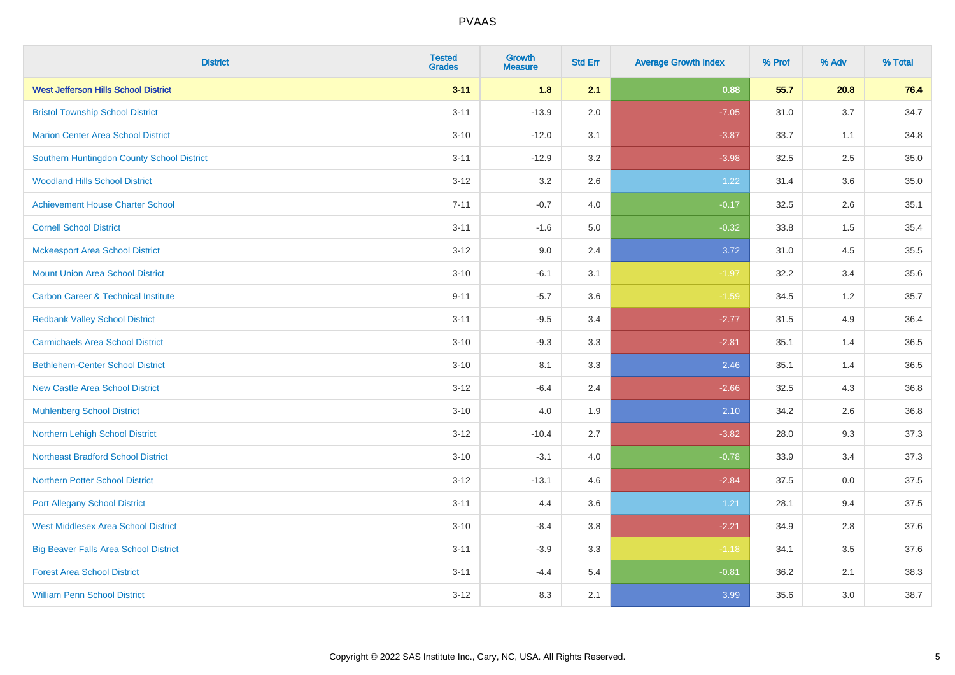| <b>District</b>                                | <b>Tested</b><br><b>Grades</b> | <b>Growth</b><br><b>Measure</b> | <b>Std Err</b> | <b>Average Growth Index</b> | % Prof | % Adv | % Total |
|------------------------------------------------|--------------------------------|---------------------------------|----------------|-----------------------------|--------|-------|---------|
| <b>West Jefferson Hills School District</b>    | $3 - 11$                       | 1.8                             | 2.1            | 0.88                        | 55.7   | 20.8  | 76.4    |
| <b>Bristol Township School District</b>        | $3 - 11$                       | $-13.9$                         | 2.0            | $-7.05$                     | 31.0   | 3.7   | 34.7    |
| <b>Marion Center Area School District</b>      | $3 - 10$                       | $-12.0$                         | 3.1            | $-3.87$                     | 33.7   | 1.1   | 34.8    |
| Southern Huntingdon County School District     | $3 - 11$                       | $-12.9$                         | 3.2            | $-3.98$                     | 32.5   | 2.5   | 35.0    |
| <b>Woodland Hills School District</b>          | $3 - 12$                       | 3.2                             | 2.6            | 1.22                        | 31.4   | 3.6   | 35.0    |
| <b>Achievement House Charter School</b>        | $7 - 11$                       | $-0.7$                          | 4.0            | $-0.17$                     | 32.5   | 2.6   | 35.1    |
| <b>Cornell School District</b>                 | $3 - 11$                       | $-1.6$                          | 5.0            | $-0.32$                     | 33.8   | 1.5   | 35.4    |
| <b>Mckeesport Area School District</b>         | $3 - 12$                       | 9.0                             | 2.4            | 3.72                        | 31.0   | 4.5   | 35.5    |
| <b>Mount Union Area School District</b>        | $3 - 10$                       | $-6.1$                          | 3.1            | $-1.97$                     | 32.2   | 3.4   | 35.6    |
| <b>Carbon Career &amp; Technical Institute</b> | $9 - 11$                       | $-5.7$                          | 3.6            | $-1.59$                     | 34.5   | 1.2   | 35.7    |
| <b>Redbank Valley School District</b>          | $3 - 11$                       | $-9.5$                          | 3.4            | $-2.77$                     | 31.5   | 4.9   | 36.4    |
| <b>Carmichaels Area School District</b>        | $3 - 10$                       | $-9.3$                          | 3.3            | $-2.81$                     | 35.1   | 1.4   | 36.5    |
| <b>Bethlehem-Center School District</b>        | $3 - 10$                       | 8.1                             | 3.3            | 2.46                        | 35.1   | 1.4   | 36.5    |
| <b>New Castle Area School District</b>         | $3 - 12$                       | $-6.4$                          | 2.4            | $-2.66$                     | 32.5   | 4.3   | 36.8    |
| <b>Muhlenberg School District</b>              | $3 - 10$                       | 4.0                             | 1.9            | 2.10                        | 34.2   | 2.6   | 36.8    |
| Northern Lehigh School District                | $3 - 12$                       | $-10.4$                         | 2.7            | $-3.82$                     | 28.0   | 9.3   | 37.3    |
| <b>Northeast Bradford School District</b>      | $3 - 10$                       | $-3.1$                          | 4.0            | $-0.78$                     | 33.9   | 3.4   | 37.3    |
| <b>Northern Potter School District</b>         | $3 - 12$                       | $-13.1$                         | 4.6            | $-2.84$                     | 37.5   | 0.0   | 37.5    |
| <b>Port Allegany School District</b>           | $3 - 11$                       | 4.4                             | 3.6            | 1.21                        | 28.1   | 9.4   | 37.5    |
| <b>West Middlesex Area School District</b>     | $3 - 10$                       | $-8.4$                          | $3.8\,$        | $-2.21$                     | 34.9   | 2.8   | 37.6    |
| <b>Big Beaver Falls Area School District</b>   | $3 - 11$                       | $-3.9$                          | 3.3            | $-1.18$                     | 34.1   | 3.5   | 37.6    |
| <b>Forest Area School District</b>             | $3 - 11$                       | $-4.4$                          | 5.4            | $-0.81$                     | 36.2   | 2.1   | 38.3    |
| <b>William Penn School District</b>            | $3 - 12$                       | 8.3                             | 2.1            | 3.99                        | 35.6   | 3.0   | 38.7    |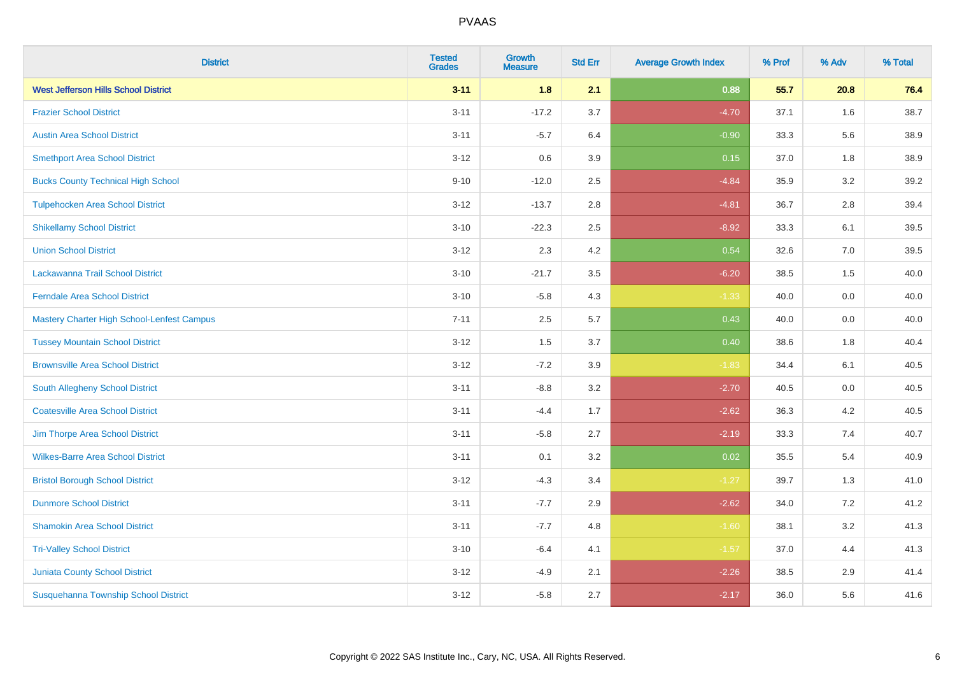| <b>District</b>                             | <b>Tested</b><br><b>Grades</b> | <b>Growth</b><br><b>Measure</b> | <b>Std Err</b> | <b>Average Growth Index</b> | % Prof | % Adv | % Total |
|---------------------------------------------|--------------------------------|---------------------------------|----------------|-----------------------------|--------|-------|---------|
| <b>West Jefferson Hills School District</b> | $3 - 11$                       | 1.8                             | 2.1            | 0.88                        | 55.7   | 20.8  | 76.4    |
| <b>Frazier School District</b>              | $3 - 11$                       | $-17.2$                         | 3.7            | $-4.70$                     | 37.1   | 1.6   | 38.7    |
| <b>Austin Area School District</b>          | $3 - 11$                       | $-5.7$                          | 6.4            | $-0.90$                     | 33.3   | 5.6   | 38.9    |
| <b>Smethport Area School District</b>       | $3 - 12$                       | 0.6                             | 3.9            | 0.15                        | 37.0   | 1.8   | 38.9    |
| <b>Bucks County Technical High School</b>   | $9 - 10$                       | $-12.0$                         | 2.5            | $-4.84$                     | 35.9   | 3.2   | 39.2    |
| <b>Tulpehocken Area School District</b>     | $3 - 12$                       | $-13.7$                         | 2.8            | $-4.81$                     | 36.7   | 2.8   | 39.4    |
| <b>Shikellamy School District</b>           | $3 - 10$                       | $-22.3$                         | 2.5            | $-8.92$                     | 33.3   | 6.1   | 39.5    |
| <b>Union School District</b>                | $3 - 12$                       | 2.3                             | 4.2            | 0.54                        | 32.6   | 7.0   | 39.5    |
| Lackawanna Trail School District            | $3 - 10$                       | $-21.7$                         | 3.5            | $-6.20$                     | 38.5   | 1.5   | 40.0    |
| <b>Ferndale Area School District</b>        | $3 - 10$                       | $-5.8$                          | 4.3            | $-1.33$                     | 40.0   | 0.0   | 40.0    |
| Mastery Charter High School-Lenfest Campus  | $7 - 11$                       | 2.5                             | 5.7            | 0.43                        | 40.0   | 0.0   | 40.0    |
| <b>Tussey Mountain School District</b>      | $3 - 12$                       | 1.5                             | 3.7            | 0.40                        | 38.6   | 1.8   | 40.4    |
| <b>Brownsville Area School District</b>     | $3 - 12$                       | $-7.2$                          | 3.9            | $-1.83$                     | 34.4   | 6.1   | 40.5    |
| South Allegheny School District             | $3 - 11$                       | $-8.8$                          | 3.2            | $-2.70$                     | 40.5   | 0.0   | 40.5    |
| <b>Coatesville Area School District</b>     | $3 - 11$                       | $-4.4$                          | 1.7            | $-2.62$                     | 36.3   | 4.2   | 40.5    |
| Jim Thorpe Area School District             | $3 - 11$                       | $-5.8$                          | 2.7            | $-2.19$                     | 33.3   | 7.4   | 40.7    |
| <b>Wilkes-Barre Area School District</b>    | $3 - 11$                       | 0.1                             | 3.2            | 0.02                        | 35.5   | 5.4   | 40.9    |
| <b>Bristol Borough School District</b>      | $3 - 12$                       | $-4.3$                          | 3.4            | $-1.27$                     | 39.7   | 1.3   | 41.0    |
| <b>Dunmore School District</b>              | $3 - 11$                       | $-7.7$                          | 2.9            | $-2.62$                     | 34.0   | 7.2   | 41.2    |
| <b>Shamokin Area School District</b>        | $3 - 11$                       | $-7.7$                          | 4.8            | $-1.60$                     | 38.1   | 3.2   | 41.3    |
| <b>Tri-Valley School District</b>           | $3 - 10$                       | $-6.4$                          | 4.1            | $-1.57$                     | 37.0   | 4.4   | 41.3    |
| <b>Juniata County School District</b>       | $3 - 12$                       | $-4.9$                          | 2.1            | $-2.26$                     | 38.5   | 2.9   | 41.4    |
| Susquehanna Township School District        | $3 - 12$                       | $-5.8$                          | 2.7            | $-2.17$                     | 36.0   | 5.6   | 41.6    |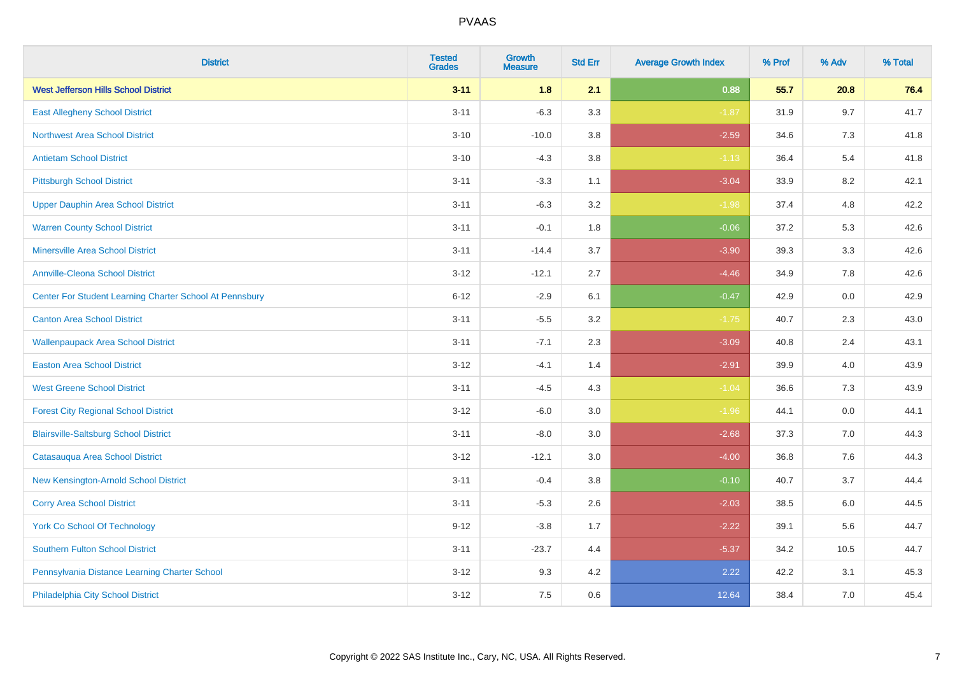| <b>District</b>                                         | <b>Tested</b><br><b>Grades</b> | <b>Growth</b><br><b>Measure</b> | <b>Std Err</b> | <b>Average Growth Index</b> | % Prof | % Adv | % Total |
|---------------------------------------------------------|--------------------------------|---------------------------------|----------------|-----------------------------|--------|-------|---------|
| <b>West Jefferson Hills School District</b>             | $3 - 11$                       | 1.8                             | 2.1            | 0.88                        | 55.7   | 20.8  | 76.4    |
| <b>East Allegheny School District</b>                   | $3 - 11$                       | $-6.3$                          | 3.3            | $-1.87$                     | 31.9   | 9.7   | 41.7    |
| <b>Northwest Area School District</b>                   | $3 - 10$                       | $-10.0$                         | 3.8            | $-2.59$                     | 34.6   | 7.3   | 41.8    |
| <b>Antietam School District</b>                         | $3 - 10$                       | $-4.3$                          | $3.8\,$        | $-1.13$                     | 36.4   | 5.4   | 41.8    |
| <b>Pittsburgh School District</b>                       | $3 - 11$                       | $-3.3$                          | 1.1            | $-3.04$                     | 33.9   | 8.2   | 42.1    |
| <b>Upper Dauphin Area School District</b>               | $3 - 11$                       | $-6.3$                          | 3.2            | $-1.98$                     | 37.4   | 4.8   | 42.2    |
| <b>Warren County School District</b>                    | $3 - 11$                       | $-0.1$                          | 1.8            | $-0.06$                     | 37.2   | 5.3   | 42.6    |
| <b>Minersville Area School District</b>                 | $3 - 11$                       | $-14.4$                         | 3.7            | $-3.90$                     | 39.3   | 3.3   | 42.6    |
| <b>Annville-Cleona School District</b>                  | $3 - 12$                       | $-12.1$                         | 2.7            | $-4.46$                     | 34.9   | 7.8   | 42.6    |
| Center For Student Learning Charter School At Pennsbury | $6 - 12$                       | $-2.9$                          | 6.1            | $-0.47$                     | 42.9   | 0.0   | 42.9    |
| <b>Canton Area School District</b>                      | $3 - 11$                       | $-5.5$                          | 3.2            | $-1.75$                     | 40.7   | 2.3   | 43.0    |
| <b>Wallenpaupack Area School District</b>               | $3 - 11$                       | $-7.1$                          | 2.3            | $-3.09$                     | 40.8   | 2.4   | 43.1    |
| <b>Easton Area School District</b>                      | $3 - 12$                       | $-4.1$                          | 1.4            | $-2.91$                     | 39.9   | 4.0   | 43.9    |
| <b>West Greene School District</b>                      | $3 - 11$                       | $-4.5$                          | 4.3            | $-1.04$                     | 36.6   | 7.3   | 43.9    |
| <b>Forest City Regional School District</b>             | $3 - 12$                       | $-6.0$                          | 3.0            | $-1.96$                     | 44.1   | 0.0   | 44.1    |
| <b>Blairsville-Saltsburg School District</b>            | $3 - 11$                       | $-8.0$                          | 3.0            | $-2.68$                     | 37.3   | 7.0   | 44.3    |
| Catasauqua Area School District                         | $3 - 12$                       | $-12.1$                         | 3.0            | $-4.00$                     | 36.8   | 7.6   | 44.3    |
| New Kensington-Arnold School District                   | $3 - 11$                       | $-0.4$                          | 3.8            | $-0.10$                     | 40.7   | 3.7   | 44.4    |
| <b>Corry Area School District</b>                       | $3 - 11$                       | $-5.3$                          | 2.6            | $-2.03$                     | 38.5   | 6.0   | 44.5    |
| <b>York Co School Of Technology</b>                     | $9 - 12$                       | $-3.8$                          | 1.7            | $-2.22$                     | 39.1   | 5.6   | 44.7    |
| <b>Southern Fulton School District</b>                  | $3 - 11$                       | $-23.7$                         | 4.4            | $-5.37$                     | 34.2   | 10.5  | 44.7    |
| Pennsylvania Distance Learning Charter School           | $3 - 12$                       | 9.3                             | 4.2            | 2.22                        | 42.2   | 3.1   | 45.3    |
| Philadelphia City School District                       | $3 - 12$                       | 7.5                             | 0.6            | 12.64                       | 38.4   | 7.0   | 45.4    |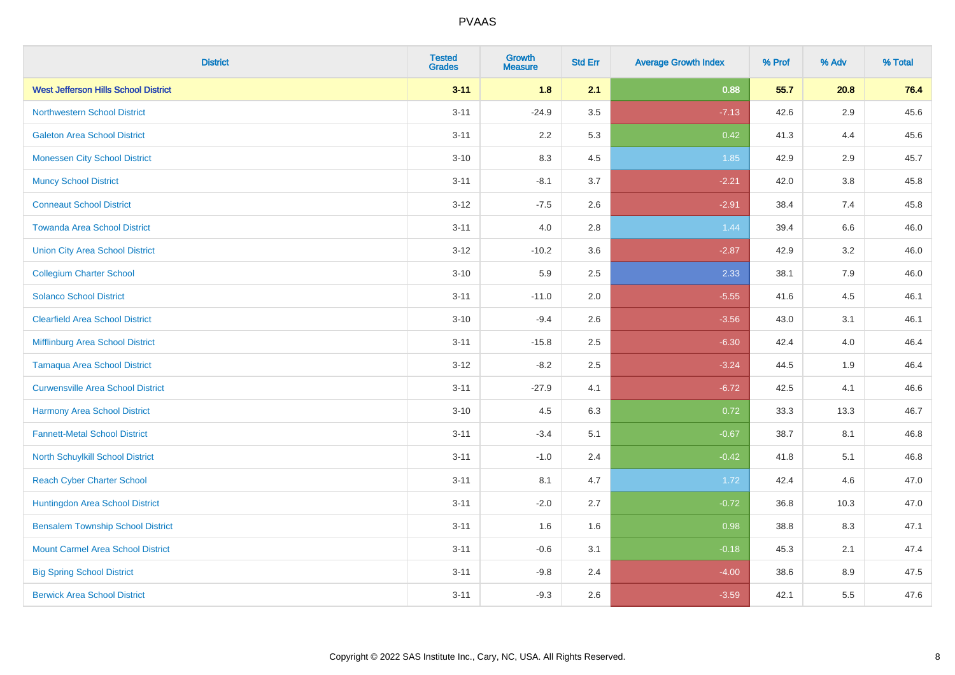| <b>District</b>                             | <b>Tested</b><br><b>Grades</b> | <b>Growth</b><br><b>Measure</b> | <b>Std Err</b> | <b>Average Growth Index</b> | % Prof | % Adv   | % Total |
|---------------------------------------------|--------------------------------|---------------------------------|----------------|-----------------------------|--------|---------|---------|
| <b>West Jefferson Hills School District</b> | $3 - 11$                       | 1.8                             | 2.1            | 0.88                        | 55.7   | 20.8    | 76.4    |
| <b>Northwestern School District</b>         | $3 - 11$                       | $-24.9$                         | 3.5            | $-7.13$                     | 42.6   | $2.9\,$ | 45.6    |
| <b>Galeton Area School District</b>         | $3 - 11$                       | 2.2                             | 5.3            | 0.42                        | 41.3   | 4.4     | 45.6    |
| <b>Monessen City School District</b>        | $3 - 10$                       | 8.3                             | 4.5            | 1.85                        | 42.9   | 2.9     | 45.7    |
| <b>Muncy School District</b>                | $3 - 11$                       | $-8.1$                          | 3.7            | $-2.21$                     | 42.0   | 3.8     | 45.8    |
| <b>Conneaut School District</b>             | $3 - 12$                       | $-7.5$                          | 2.6            | $-2.91$                     | 38.4   | 7.4     | 45.8    |
| <b>Towanda Area School District</b>         | $3 - 11$                       | 4.0                             | 2.8            | 1.44                        | 39.4   | $6.6\,$ | 46.0    |
| <b>Union City Area School District</b>      | $3 - 12$                       | $-10.2$                         | 3.6            | $-2.87$                     | 42.9   | 3.2     | 46.0    |
| <b>Collegium Charter School</b>             | $3 - 10$                       | 5.9                             | 2.5            | 2.33                        | 38.1   | 7.9     | 46.0    |
| <b>Solanco School District</b>              | $3 - 11$                       | $-11.0$                         | 2.0            | $-5.55$                     | 41.6   | 4.5     | 46.1    |
| <b>Clearfield Area School District</b>      | $3 - 10$                       | $-9.4$                          | 2.6            | $-3.56$                     | 43.0   | 3.1     | 46.1    |
| Mifflinburg Area School District            | $3 - 11$                       | $-15.8$                         | 2.5            | $-6.30$                     | 42.4   | 4.0     | 46.4    |
| <b>Tamaqua Area School District</b>         | $3 - 12$                       | $-8.2$                          | 2.5            | $-3.24$                     | 44.5   | $1.9$   | 46.4    |
| <b>Curwensville Area School District</b>    | $3 - 11$                       | $-27.9$                         | 4.1            | $-6.72$                     | 42.5   | 4.1     | 46.6    |
| Harmony Area School District                | $3 - 10$                       | 4.5                             | 6.3            | 0.72                        | 33.3   | 13.3    | 46.7    |
| <b>Fannett-Metal School District</b>        | $3 - 11$                       | $-3.4$                          | 5.1            | $-0.67$                     | 38.7   | 8.1     | 46.8    |
| North Schuylkill School District            | $3 - 11$                       | $-1.0$                          | 2.4            | $-0.42$                     | 41.8   | 5.1     | 46.8    |
| <b>Reach Cyber Charter School</b>           | $3 - 11$                       | 8.1                             | 4.7            | 1.72                        | 42.4   | 4.6     | 47.0    |
| Huntingdon Area School District             | $3 - 11$                       | $-2.0$                          | 2.7            | $-0.72$                     | 36.8   | 10.3    | 47.0    |
| <b>Bensalem Township School District</b>    | $3 - 11$                       | 1.6                             | 1.6            | 0.98                        | 38.8   | 8.3     | 47.1    |
| <b>Mount Carmel Area School District</b>    | $3 - 11$                       | $-0.6$                          | 3.1            | $-0.18$                     | 45.3   | 2.1     | 47.4    |
| <b>Big Spring School District</b>           | $3 - 11$                       | $-9.8$                          | 2.4            | $-4.00$                     | 38.6   | 8.9     | 47.5    |
| <b>Berwick Area School District</b>         | $3 - 11$                       | $-9.3$                          | 2.6            | $-3.59$                     | 42.1   | 5.5     | 47.6    |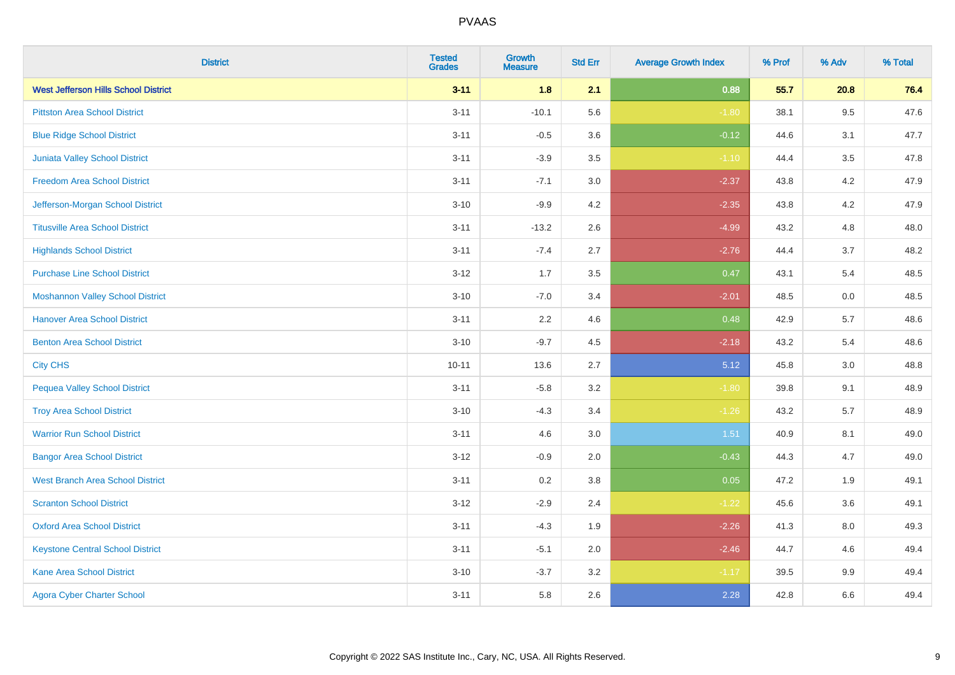| <b>District</b>                             | <b>Tested</b><br><b>Grades</b> | Growth<br><b>Measure</b> | <b>Std Err</b> | <b>Average Growth Index</b> | % Prof | % Adv   | % Total |
|---------------------------------------------|--------------------------------|--------------------------|----------------|-----------------------------|--------|---------|---------|
| <b>West Jefferson Hills School District</b> | $3 - 11$                       | 1.8                      | 2.1            | 0.88                        | 55.7   | 20.8    | 76.4    |
| <b>Pittston Area School District</b>        | $3 - 11$                       | $-10.1$                  | 5.6            | $-1.80$                     | 38.1   | 9.5     | 47.6    |
| <b>Blue Ridge School District</b>           | $3 - 11$                       | $-0.5$                   | 3.6            | $-0.12$                     | 44.6   | 3.1     | 47.7    |
| Juniata Valley School District              | $3 - 11$                       | $-3.9$                   | 3.5            | $-1.10$                     | 44.4   | 3.5     | 47.8    |
| <b>Freedom Area School District</b>         | $3 - 11$                       | $-7.1$                   | 3.0            | $-2.37$                     | 43.8   | 4.2     | 47.9    |
| Jefferson-Morgan School District            | $3 - 10$                       | $-9.9$                   | 4.2            | $-2.35$                     | 43.8   | 4.2     | 47.9    |
| <b>Titusville Area School District</b>      | $3 - 11$                       | $-13.2$                  | 2.6            | $-4.99$                     | 43.2   | 4.8     | 48.0    |
| <b>Highlands School District</b>            | $3 - 11$                       | $-7.4$                   | 2.7            | $-2.76$                     | 44.4   | 3.7     | 48.2    |
| <b>Purchase Line School District</b>        | $3 - 12$                       | 1.7                      | 3.5            | 0.47                        | 43.1   | 5.4     | 48.5    |
| <b>Moshannon Valley School District</b>     | $3 - 10$                       | $-7.0$                   | 3.4            | $-2.01$                     | 48.5   | 0.0     | 48.5    |
| <b>Hanover Area School District</b>         | $3 - 11$                       | 2.2                      | 4.6            | 0.48                        | 42.9   | 5.7     | 48.6    |
| <b>Benton Area School District</b>          | $3 - 10$                       | $-9.7$                   | 4.5            | $-2.18$                     | 43.2   | 5.4     | 48.6    |
| <b>City CHS</b>                             | $10 - 11$                      | 13.6                     | 2.7            | 5.12                        | 45.8   | 3.0     | 48.8    |
| <b>Pequea Valley School District</b>        | $3 - 11$                       | $-5.8$                   | 3.2            | $-1.80$                     | 39.8   | 9.1     | 48.9    |
| <b>Troy Area School District</b>            | $3 - 10$                       | $-4.3$                   | 3.4            | $-1.26$                     | 43.2   | 5.7     | 48.9    |
| <b>Warrior Run School District</b>          | $3 - 11$                       | 4.6                      | 3.0            | 1.51                        | 40.9   | 8.1     | 49.0    |
| <b>Bangor Area School District</b>          | $3 - 12$                       | $-0.9$                   | 2.0            | $-0.43$                     | 44.3   | 4.7     | 49.0    |
| <b>West Branch Area School District</b>     | $3 - 11$                       | 0.2                      | 3.8            | 0.05                        | 47.2   | 1.9     | 49.1    |
| <b>Scranton School District</b>             | $3 - 12$                       | $-2.9$                   | 2.4            | $-1.22$                     | 45.6   | 3.6     | 49.1    |
| <b>Oxford Area School District</b>          | $3 - 11$                       | $-4.3$                   | 1.9            | $-2.26$                     | 41.3   | 8.0     | 49.3    |
| <b>Keystone Central School District</b>     | $3 - 11$                       | $-5.1$                   | 2.0            | $-2.46$                     | 44.7   | 4.6     | 49.4    |
| Kane Area School District                   | $3 - 10$                       | $-3.7$                   | 3.2            | $-1.17$                     | 39.5   | $9.9\,$ | 49.4    |
| <b>Agora Cyber Charter School</b>           | $3 - 11$                       | 5.8                      | 2.6            | 2.28                        | 42.8   | 6.6     | 49.4    |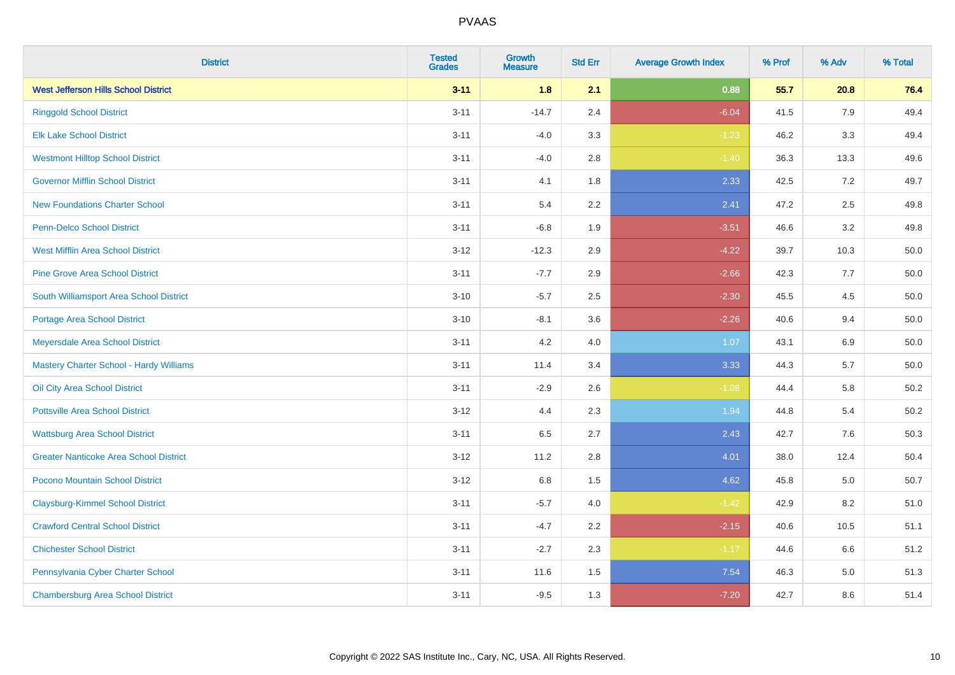| <b>District</b>                                | <b>Tested</b><br><b>Grades</b> | <b>Growth</b><br><b>Measure</b> | <b>Std Err</b> | <b>Average Growth Index</b> | % Prof | % Adv   | % Total  |
|------------------------------------------------|--------------------------------|---------------------------------|----------------|-----------------------------|--------|---------|----------|
| <b>West Jefferson Hills School District</b>    | $3 - 11$                       | 1.8                             | 2.1            | 0.88                        | 55.7   | 20.8    | 76.4     |
| <b>Ringgold School District</b>                | $3 - 11$                       | $-14.7$                         | 2.4            | $-6.04$                     | 41.5   | 7.9     | 49.4     |
| <b>Elk Lake School District</b>                | $3 - 11$                       | $-4.0$                          | 3.3            | $-1.23$                     | 46.2   | 3.3     | 49.4     |
| <b>Westmont Hilltop School District</b>        | $3 - 11$                       | $-4.0$                          | 2.8            | $-1.40$                     | 36.3   | 13.3    | 49.6     |
| <b>Governor Mifflin School District</b>        | $3 - 11$                       | 4.1                             | 1.8            | 2.33                        | 42.5   | 7.2     | 49.7     |
| <b>New Foundations Charter School</b>          | $3 - 11$                       | 5.4                             | 2.2            | 2.41                        | 47.2   | 2.5     | 49.8     |
| Penn-Delco School District                     | $3 - 11$                       | $-6.8$                          | 1.9            | $-3.51$                     | 46.6   | 3.2     | 49.8     |
| <b>West Mifflin Area School District</b>       | $3 - 12$                       | $-12.3$                         | 2.9            | $-4.22$                     | 39.7   | 10.3    | 50.0     |
| <b>Pine Grove Area School District</b>         | $3 - 11$                       | $-7.7$                          | 2.9            | $-2.66$                     | 42.3   | 7.7     | 50.0     |
| South Williamsport Area School District        | $3 - 10$                       | $-5.7$                          | 2.5            | $-2.30$                     | 45.5   | 4.5     | 50.0     |
| Portage Area School District                   | $3 - 10$                       | $-8.1$                          | 3.6            | $-2.26$                     | 40.6   | 9.4     | 50.0     |
| Meyersdale Area School District                | $3 - 11$                       | 4.2                             | 4.0            | 1.07                        | 43.1   | $6.9\,$ | 50.0     |
| <b>Mastery Charter School - Hardy Williams</b> | $3 - 11$                       | 11.4                            | 3.4            | 3.33                        | 44.3   | 5.7     | $50.0\,$ |
| Oil City Area School District                  | $3 - 11$                       | $-2.9$                          | 2.6            | $-1.08$                     | 44.4   | 5.8     | 50.2     |
| <b>Pottsville Area School District</b>         | $3 - 12$                       | 4.4                             | 2.3            | 1.94                        | 44.8   | 5.4     | 50.2     |
| <b>Wattsburg Area School District</b>          | $3 - 11$                       | 6.5                             | 2.7            | 2.43                        | 42.7   | 7.6     | 50.3     |
| <b>Greater Nanticoke Area School District</b>  | $3 - 12$                       | 11.2                            | 2.8            | 4.01                        | 38.0   | 12.4    | 50.4     |
| Pocono Mountain School District                | $3 - 12$                       | 6.8                             | 1.5            | 4.62                        | 45.8   | 5.0     | 50.7     |
| <b>Claysburg-Kimmel School District</b>        | $3 - 11$                       | $-5.7$                          | 4.0            | $-1.42$                     | 42.9   | 8.2     | 51.0     |
| <b>Crawford Central School District</b>        | $3 - 11$                       | $-4.7$                          | 2.2            | $-2.15$                     | 40.6   | 10.5    | 51.1     |
| <b>Chichester School District</b>              | $3 - 11$                       | $-2.7$                          | 2.3            | $-1.17$                     | 44.6   | 6.6     | 51.2     |
| Pennsylvania Cyber Charter School              | $3 - 11$                       | 11.6                            | 1.5            | 7.54                        | 46.3   | 5.0     | 51.3     |
| <b>Chambersburg Area School District</b>       | $3 - 11$                       | $-9.5$                          | 1.3            | $-7.20$                     | 42.7   | 8.6     | 51.4     |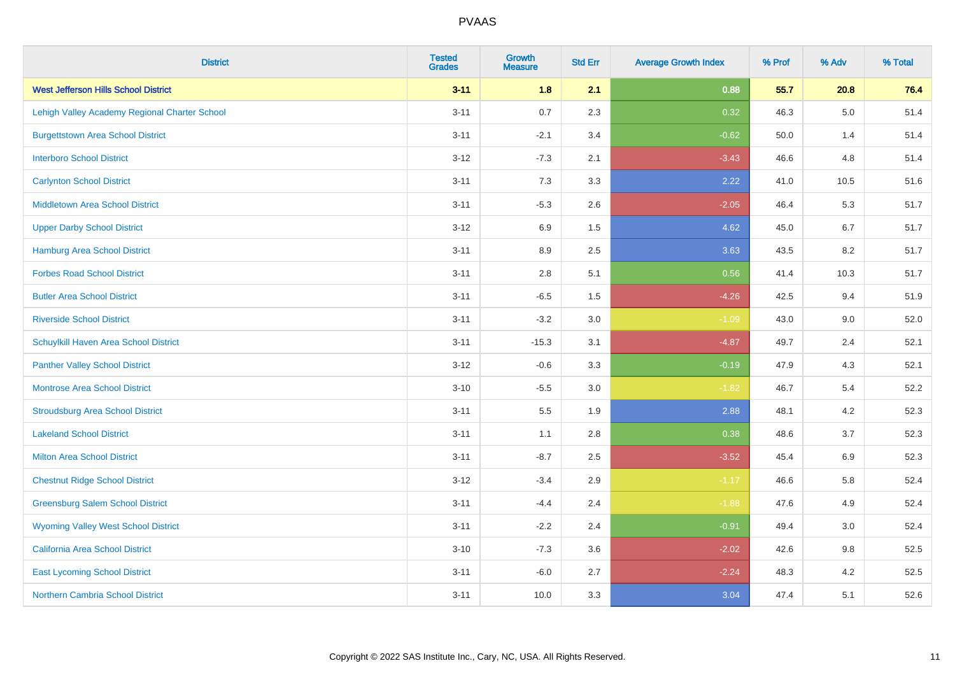| <b>District</b>                               | <b>Tested</b><br><b>Grades</b> | <b>Growth</b><br><b>Measure</b> | <b>Std Err</b> | <b>Average Growth Index</b> | % Prof | % Adv   | % Total |
|-----------------------------------------------|--------------------------------|---------------------------------|----------------|-----------------------------|--------|---------|---------|
| <b>West Jefferson Hills School District</b>   | $3 - 11$                       | 1.8                             | 2.1            | 0.88                        | 55.7   | 20.8    | 76.4    |
| Lehigh Valley Academy Regional Charter School | $3 - 11$                       | 0.7                             | 2.3            | 0.32                        | 46.3   | $5.0\,$ | 51.4    |
| <b>Burgettstown Area School District</b>      | $3 - 11$                       | $-2.1$                          | 3.4            | $-0.62$                     | 50.0   | 1.4     | 51.4    |
| <b>Interboro School District</b>              | $3 - 12$                       | $-7.3$                          | 2.1            | $-3.43$                     | 46.6   | 4.8     | 51.4    |
| <b>Carlynton School District</b>              | $3 - 11$                       | 7.3                             | 3.3            | 2.22                        | 41.0   | 10.5    | 51.6    |
| <b>Middletown Area School District</b>        | $3 - 11$                       | $-5.3$                          | 2.6            | $-2.05$                     | 46.4   | 5.3     | 51.7    |
| <b>Upper Darby School District</b>            | $3 - 12$                       | 6.9                             | 1.5            | 4.62                        | 45.0   | 6.7     | 51.7    |
| <b>Hamburg Area School District</b>           | $3 - 11$                       | 8.9                             | 2.5            | 3.63                        | 43.5   | 8.2     | 51.7    |
| <b>Forbes Road School District</b>            | $3 - 11$                       | 2.8                             | 5.1            | 0.56                        | 41.4   | 10.3    | 51.7    |
| <b>Butler Area School District</b>            | $3 - 11$                       | $-6.5$                          | $1.5$          | $-4.26$                     | 42.5   | 9.4     | 51.9    |
| <b>Riverside School District</b>              | $3 - 11$                       | $-3.2$                          | 3.0            | $-1.09$                     | 43.0   | 9.0     | 52.0    |
| Schuylkill Haven Area School District         | $3 - 11$                       | $-15.3$                         | 3.1            | $-4.87$                     | 49.7   | 2.4     | 52.1    |
| <b>Panther Valley School District</b>         | $3 - 12$                       | $-0.6$                          | 3.3            | $-0.19$                     | 47.9   | 4.3     | 52.1    |
| <b>Montrose Area School District</b>          | $3 - 10$                       | $-5.5$                          | 3.0            | $-1.82$                     | 46.7   | 5.4     | 52.2    |
| <b>Stroudsburg Area School District</b>       | $3 - 11$                       | 5.5                             | 1.9            | 2.88                        | 48.1   | 4.2     | 52.3    |
| <b>Lakeland School District</b>               | $3 - 11$                       | 1.1                             | 2.8            | 0.38                        | 48.6   | 3.7     | 52.3    |
| <b>Milton Area School District</b>            | $3 - 11$                       | $-8.7$                          | 2.5            | $-3.52$                     | 45.4   | $6.9\,$ | 52.3    |
| <b>Chestnut Ridge School District</b>         | $3 - 12$                       | $-3.4$                          | 2.9            | $-1.17$                     | 46.6   | 5.8     | 52.4    |
| <b>Greensburg Salem School District</b>       | $3 - 11$                       | $-4.4$                          | 2.4            | $-1.88$                     | 47.6   | 4.9     | 52.4    |
| <b>Wyoming Valley West School District</b>    | $3 - 11$                       | $-2.2$                          | 2.4            | $-0.91$                     | 49.4   | 3.0     | 52.4    |
| <b>California Area School District</b>        | $3 - 10$                       | $-7.3$                          | 3.6            | $-2.02$                     | 42.6   | 9.8     | 52.5    |
| <b>East Lycoming School District</b>          | $3 - 11$                       | $-6.0$                          | 2.7            | $-2.24$                     | 48.3   | 4.2     | 52.5    |
| <b>Northern Cambria School District</b>       | $3 - 11$                       | 10.0                            | 3.3            | 3.04                        | 47.4   | 5.1     | 52.6    |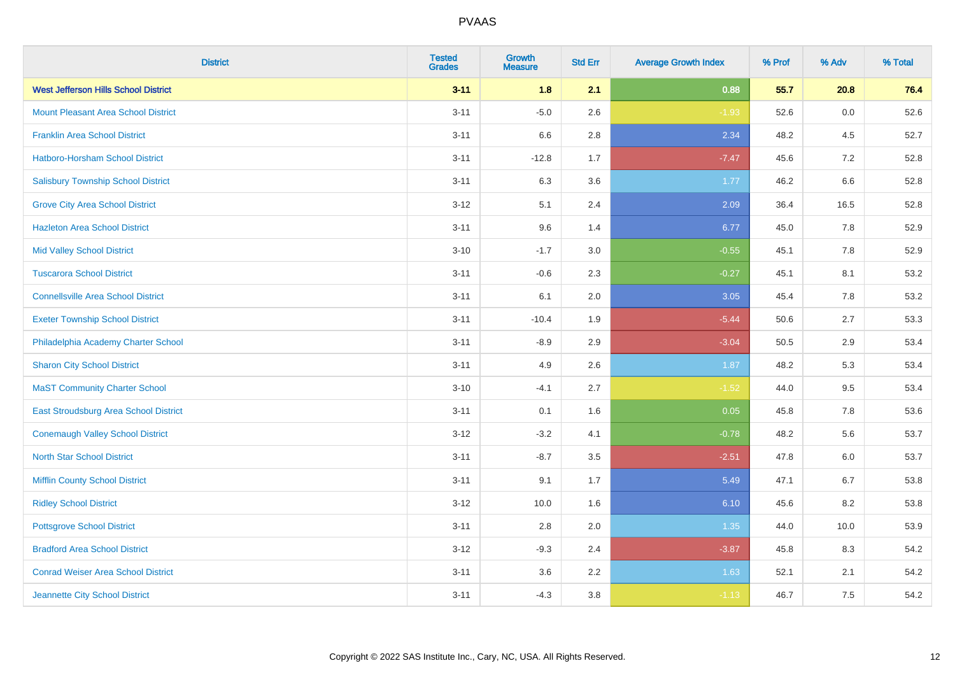| <b>District</b>                             | <b>Tested</b><br><b>Grades</b> | <b>Growth</b><br><b>Measure</b> | <b>Std Err</b> | <b>Average Growth Index</b> | % Prof | % Adv   | % Total |
|---------------------------------------------|--------------------------------|---------------------------------|----------------|-----------------------------|--------|---------|---------|
| <b>West Jefferson Hills School District</b> | $3 - 11$                       | 1.8                             | 2.1            | 0.88                        | 55.7   | 20.8    | 76.4    |
| <b>Mount Pleasant Area School District</b>  | $3 - 11$                       | $-5.0$                          | 2.6            | $-1.93$                     | 52.6   | 0.0     | 52.6    |
| <b>Franklin Area School District</b>        | $3 - 11$                       | 6.6                             | 2.8            | 2.34                        | 48.2   | 4.5     | 52.7    |
| Hatboro-Horsham School District             | $3 - 11$                       | $-12.8$                         | 1.7            | $-7.47$                     | 45.6   | $7.2\,$ | 52.8    |
| <b>Salisbury Township School District</b>   | $3 - 11$                       | 6.3                             | 3.6            | 1.77                        | 46.2   | 6.6     | 52.8    |
| <b>Grove City Area School District</b>      | $3 - 12$                       | 5.1                             | 2.4            | 2.09                        | 36.4   | 16.5    | 52.8    |
| <b>Hazleton Area School District</b>        | $3 - 11$                       | 9.6                             | 1.4            | 6.77                        | 45.0   | 7.8     | 52.9    |
| <b>Mid Valley School District</b>           | $3 - 10$                       | $-1.7$                          | 3.0            | $-0.55$                     | 45.1   | 7.8     | 52.9    |
| <b>Tuscarora School District</b>            | $3 - 11$                       | $-0.6$                          | 2.3            | $-0.27$                     | 45.1   | 8.1     | 53.2    |
| <b>Connellsville Area School District</b>   | $3 - 11$                       | 6.1                             | 2.0            | 3.05                        | 45.4   | 7.8     | 53.2    |
| <b>Exeter Township School District</b>      | $3 - 11$                       | $-10.4$                         | 1.9            | $-5.44$                     | 50.6   | 2.7     | 53.3    |
| Philadelphia Academy Charter School         | $3 - 11$                       | $-8.9$                          | 2.9            | $-3.04$                     | 50.5   | 2.9     | 53.4    |
| <b>Sharon City School District</b>          | $3 - 11$                       | 4.9                             | 2.6            | 1.87                        | 48.2   | 5.3     | 53.4    |
| <b>MaST Community Charter School</b>        | $3 - 10$                       | $-4.1$                          | 2.7            | $-1.52$                     | 44.0   | 9.5     | 53.4    |
| East Stroudsburg Area School District       | $3 - 11$                       | 0.1                             | 1.6            | 0.05                        | 45.8   | 7.8     | 53.6    |
| <b>Conemaugh Valley School District</b>     | $3 - 12$                       | $-3.2$                          | 4.1            | $-0.78$                     | 48.2   | 5.6     | 53.7    |
| <b>North Star School District</b>           | $3 - 11$                       | $-8.7$                          | 3.5            | $-2.51$                     | 47.8   | $6.0\,$ | 53.7    |
| <b>Mifflin County School District</b>       | $3 - 11$                       | 9.1                             | 1.7            | 5.49                        | 47.1   | 6.7     | 53.8    |
| <b>Ridley School District</b>               | $3-12$                         | 10.0                            | 1.6            | 6.10                        | 45.6   | 8.2     | 53.8    |
| <b>Pottsgrove School District</b>           | $3 - 11$                       | 2.8                             | 2.0            | 1.35                        | 44.0   | 10.0    | 53.9    |
| <b>Bradford Area School District</b>        | $3 - 12$                       | $-9.3$                          | 2.4            | $-3.87$                     | 45.8   | 8.3     | 54.2    |
| <b>Conrad Weiser Area School District</b>   | $3 - 11$                       | 3.6                             | 2.2            | 1.63                        | 52.1   | 2.1     | 54.2    |
| Jeannette City School District              | $3 - 11$                       | $-4.3$                          | $3.8\,$        | $-1.13$                     | 46.7   | 7.5     | 54.2    |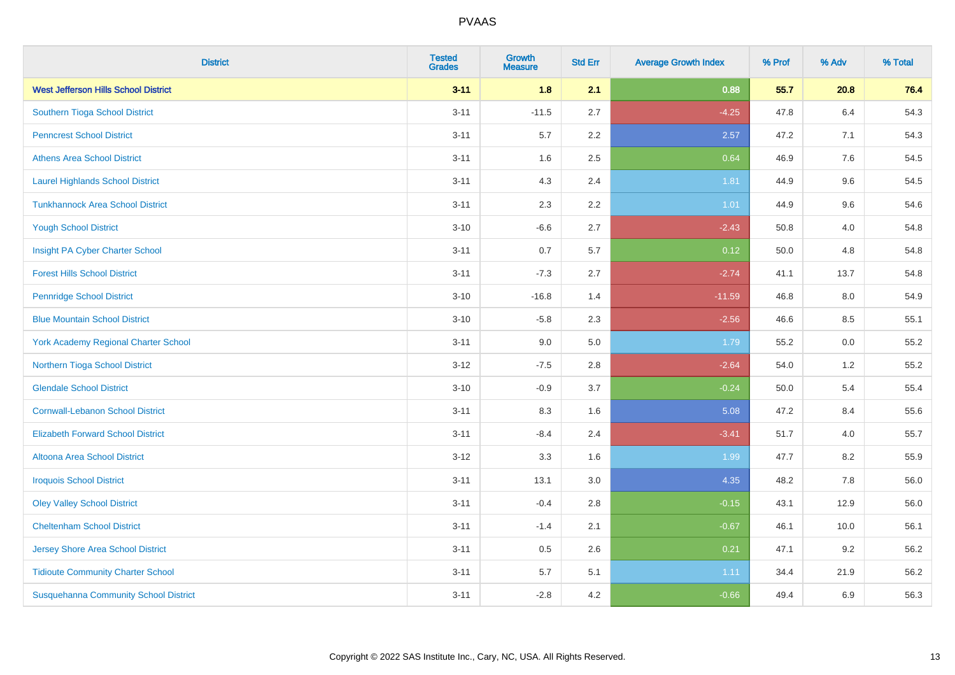| <b>District</b>                              | <b>Tested</b><br><b>Grades</b> | Growth<br><b>Measure</b> | <b>Std Err</b> | <b>Average Growth Index</b> | % Prof | % Adv | % Total |
|----------------------------------------------|--------------------------------|--------------------------|----------------|-----------------------------|--------|-------|---------|
| <b>West Jefferson Hills School District</b>  | $3 - 11$                       | 1.8                      | 2.1            | 0.88                        | 55.7   | 20.8  | 76.4    |
| Southern Tioga School District               | $3 - 11$                       | $-11.5$                  | 2.7            | $-4.25$                     | 47.8   | 6.4   | 54.3    |
| <b>Penncrest School District</b>             | $3 - 11$                       | 5.7                      | $2.2\,$        | 2.57                        | 47.2   | 7.1   | 54.3    |
| <b>Athens Area School District</b>           | $3 - 11$                       | 1.6                      | 2.5            | 0.64                        | 46.9   | 7.6   | 54.5    |
| <b>Laurel Highlands School District</b>      | $3 - 11$                       | 4.3                      | 2.4            | 1.81                        | 44.9   | 9.6   | 54.5    |
| <b>Tunkhannock Area School District</b>      | $3 - 11$                       | 2.3                      | $2.2\,$        | $1.01$                      | 44.9   | 9.6   | 54.6    |
| <b>Yough School District</b>                 | $3 - 10$                       | $-6.6$                   | 2.7            | $-2.43$                     | 50.8   | 4.0   | 54.8    |
| Insight PA Cyber Charter School              | $3 - 11$                       | 0.7                      | 5.7            | 0.12                        | 50.0   | 4.8   | 54.8    |
| <b>Forest Hills School District</b>          | $3 - 11$                       | $-7.3$                   | 2.7            | $-2.74$                     | 41.1   | 13.7  | 54.8    |
| <b>Pennridge School District</b>             | $3 - 10$                       | $-16.8$                  | 1.4            | $-11.59$                    | 46.8   | 8.0   | 54.9    |
| <b>Blue Mountain School District</b>         | $3 - 10$                       | $-5.8$                   | 2.3            | $-2.56$                     | 46.6   | 8.5   | 55.1    |
| <b>York Academy Regional Charter School</b>  | $3 - 11$                       | 9.0                      | 5.0            | 1.79                        | 55.2   | 0.0   | 55.2    |
| Northern Tioga School District               | $3 - 12$                       | $-7.5$                   | 2.8            | $-2.64$                     | 54.0   | 1.2   | 55.2    |
| <b>Glendale School District</b>              | $3 - 10$                       | $-0.9$                   | 3.7            | $-0.24$                     | 50.0   | 5.4   | 55.4    |
| <b>Cornwall-Lebanon School District</b>      | $3 - 11$                       | 8.3                      | 1.6            | 5.08                        | 47.2   | 8.4   | 55.6    |
| <b>Elizabeth Forward School District</b>     | $3 - 11$                       | $-8.4$                   | 2.4            | $-3.41$                     | 51.7   | 4.0   | 55.7    |
| <b>Altoona Area School District</b>          | $3 - 12$                       | 3.3                      | 1.6            | 1.99                        | 47.7   | 8.2   | 55.9    |
| <b>Iroquois School District</b>              | $3 - 11$                       | 13.1                     | 3.0            | 4.35                        | 48.2   | 7.8   | 56.0    |
| <b>Oley Valley School District</b>           | $3 - 11$                       | $-0.4$                   | 2.8            | $-0.15$                     | 43.1   | 12.9  | 56.0    |
| <b>Cheltenham School District</b>            | $3 - 11$                       | $-1.4$                   | 2.1            | $-0.67$                     | 46.1   | 10.0  | 56.1    |
| Jersey Shore Area School District            | $3 - 11$                       | 0.5                      | 2.6            | 0.21                        | 47.1   | 9.2   | 56.2    |
| <b>Tidioute Community Charter School</b>     | $3 - 11$                       | 5.7                      | 5.1            | 1.11                        | 34.4   | 21.9  | 56.2    |
| <b>Susquehanna Community School District</b> | $3 - 11$                       | $-2.8$                   | 4.2            | $-0.66$                     | 49.4   | 6.9   | 56.3    |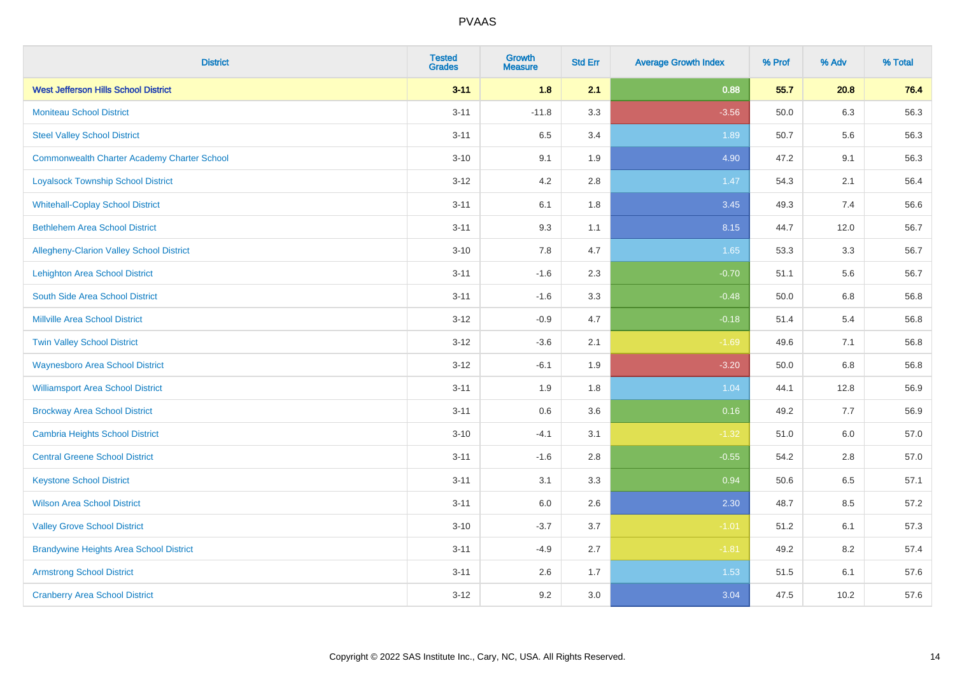| <b>District</b>                                    | <b>Tested</b><br><b>Grades</b> | <b>Growth</b><br><b>Measure</b> | <b>Std Err</b> | <b>Average Growth Index</b> | % Prof | % Adv   | % Total |
|----------------------------------------------------|--------------------------------|---------------------------------|----------------|-----------------------------|--------|---------|---------|
| <b>West Jefferson Hills School District</b>        | $3 - 11$                       | 1.8                             | 2.1            | 0.88                        | 55.7   | 20.8    | 76.4    |
| <b>Moniteau School District</b>                    | $3 - 11$                       | $-11.8$                         | 3.3            | $-3.56$                     | 50.0   | 6.3     | 56.3    |
| <b>Steel Valley School District</b>                | $3 - 11$                       | 6.5                             | 3.4            | 1.89                        | 50.7   | 5.6     | 56.3    |
| <b>Commonwealth Charter Academy Charter School</b> | $3 - 10$                       | 9.1                             | 1.9            | 4.90                        | 47.2   | 9.1     | 56.3    |
| <b>Loyalsock Township School District</b>          | $3 - 12$                       | 4.2                             | 2.8            | 1.47                        | 54.3   | 2.1     | 56.4    |
| <b>Whitehall-Coplay School District</b>            | $3 - 11$                       | 6.1                             | 1.8            | 3.45                        | 49.3   | 7.4     | 56.6    |
| <b>Bethlehem Area School District</b>              | $3 - 11$                       | 9.3                             | 1.1            | 8.15                        | 44.7   | 12.0    | 56.7    |
| Allegheny-Clarion Valley School District           | $3 - 10$                       | 7.8                             | 4.7            | 1.65                        | 53.3   | 3.3     | 56.7    |
| <b>Lehighton Area School District</b>              | $3 - 11$                       | $-1.6$                          | 2.3            | $-0.70$                     | 51.1   | 5.6     | 56.7    |
| South Side Area School District                    | $3 - 11$                       | $-1.6$                          | 3.3            | $-0.48$                     | 50.0   | 6.8     | 56.8    |
| Millville Area School District                     | $3 - 12$                       | $-0.9$                          | 4.7            | $-0.18$                     | 51.4   | 5.4     | 56.8    |
| <b>Twin Valley School District</b>                 | $3 - 12$                       | $-3.6$                          | 2.1            | $-1.69$                     | 49.6   | 7.1     | 56.8    |
| <b>Waynesboro Area School District</b>             | $3 - 12$                       | $-6.1$                          | 1.9            | $-3.20$                     | 50.0   | 6.8     | 56.8    |
| <b>Williamsport Area School District</b>           | $3 - 11$                       | 1.9                             | 1.8            | 1.04                        | 44.1   | 12.8    | 56.9    |
| <b>Brockway Area School District</b>               | $3 - 11$                       | 0.6                             | 3.6            | 0.16                        | 49.2   | 7.7     | 56.9    |
| <b>Cambria Heights School District</b>             | $3 - 10$                       | $-4.1$                          | 3.1            | $-1.32$                     | 51.0   | $6.0\,$ | 57.0    |
| <b>Central Greene School District</b>              | $3 - 11$                       | $-1.6$                          | 2.8            | $-0.55$                     | 54.2   | 2.8     | 57.0    |
| <b>Keystone School District</b>                    | $3 - 11$                       | 3.1                             | 3.3            | 0.94                        | 50.6   | 6.5     | 57.1    |
| <b>Wilson Area School District</b>                 | $3 - 11$                       | 6.0                             | 2.6            | 2.30                        | 48.7   | 8.5     | 57.2    |
| <b>Valley Grove School District</b>                | $3 - 10$                       | $-3.7$                          | 3.7            | $-1.01$                     | 51.2   | 6.1     | 57.3    |
| <b>Brandywine Heights Area School District</b>     | $3 - 11$                       | $-4.9$                          | 2.7            | $-1.81$                     | 49.2   | 8.2     | 57.4    |
| <b>Armstrong School District</b>                   | $3 - 11$                       | 2.6                             | 1.7            | 1.53                        | 51.5   | 6.1     | 57.6    |
| <b>Cranberry Area School District</b>              | $3 - 12$                       | 9.2                             | 3.0            | 3.04                        | 47.5   | 10.2    | 57.6    |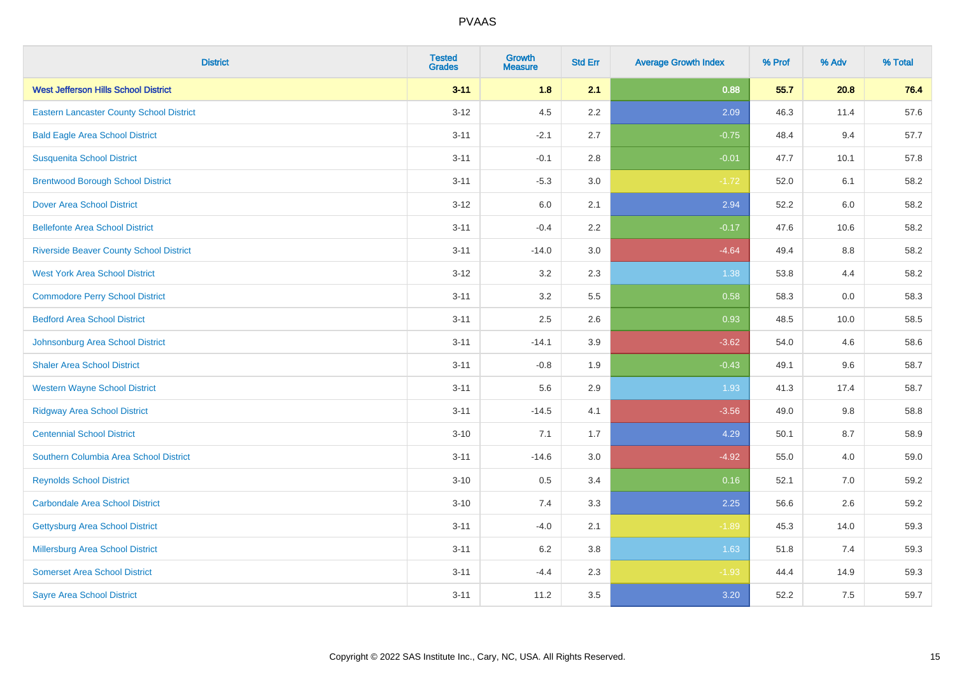| <b>District</b>                                 | <b>Tested</b><br><b>Grades</b> | <b>Growth</b><br><b>Measure</b> | <b>Std Err</b> | <b>Average Growth Index</b> | % Prof | % Adv | % Total |
|-------------------------------------------------|--------------------------------|---------------------------------|----------------|-----------------------------|--------|-------|---------|
| <b>West Jefferson Hills School District</b>     | $3 - 11$                       | 1.8                             | 2.1            | 0.88                        | 55.7   | 20.8  | 76.4    |
| <b>Eastern Lancaster County School District</b> | $3 - 12$                       | 4.5                             | 2.2            | 2.09                        | 46.3   | 11.4  | 57.6    |
| <b>Bald Eagle Area School District</b>          | $3 - 11$                       | $-2.1$                          | 2.7            | $-0.75$                     | 48.4   | 9.4   | 57.7    |
| <b>Susquenita School District</b>               | $3 - 11$                       | $-0.1$                          | 2.8            | $-0.01$                     | 47.7   | 10.1  | 57.8    |
| <b>Brentwood Borough School District</b>        | $3 - 11$                       | $-5.3$                          | 3.0            | $-1.72$                     | 52.0   | 6.1   | 58.2    |
| <b>Dover Area School District</b>               | $3 - 12$                       | $6.0\,$                         | 2.1            | 2.94                        | 52.2   | 6.0   | 58.2    |
| <b>Bellefonte Area School District</b>          | $3 - 11$                       | $-0.4$                          | 2.2            | $-0.17$                     | 47.6   | 10.6  | 58.2    |
| <b>Riverside Beaver County School District</b>  | $3 - 11$                       | $-14.0$                         | 3.0            | $-4.64$                     | 49.4   | 8.8   | 58.2    |
| <b>West York Area School District</b>           | $3 - 12$                       | 3.2                             | 2.3            | 1.38                        | 53.8   | 4.4   | 58.2    |
| <b>Commodore Perry School District</b>          | $3 - 11$                       | 3.2                             | 5.5            | 0.58                        | 58.3   | 0.0   | 58.3    |
| <b>Bedford Area School District</b>             | $3 - 11$                       | 2.5                             | 2.6            | 0.93                        | 48.5   | 10.0  | 58.5    |
| Johnsonburg Area School District                | $3 - 11$                       | $-14.1$                         | 3.9            | $-3.62$                     | 54.0   | 4.6   | 58.6    |
| <b>Shaler Area School District</b>              | $3 - 11$                       | $-0.8$                          | 1.9            | $-0.43$                     | 49.1   | 9.6   | 58.7    |
| <b>Western Wayne School District</b>            | $3 - 11$                       | 5.6                             | 2.9            | 1.93                        | 41.3   | 17.4  | 58.7    |
| <b>Ridgway Area School District</b>             | $3 - 11$                       | $-14.5$                         | 4.1            | $-3.56$                     | 49.0   | 9.8   | 58.8    |
| <b>Centennial School District</b>               | $3 - 10$                       | 7.1                             | 1.7            | 4.29                        | 50.1   | 8.7   | 58.9    |
| Southern Columbia Area School District          | $3 - 11$                       | $-14.6$                         | 3.0            | $-4.92$                     | 55.0   | 4.0   | 59.0    |
| <b>Reynolds School District</b>                 | $3 - 10$                       | 0.5                             | 3.4            | 0.16                        | 52.1   | 7.0   | 59.2    |
| <b>Carbondale Area School District</b>          | $3 - 10$                       | 7.4                             | 3.3            | 2.25                        | 56.6   | 2.6   | 59.2    |
| <b>Gettysburg Area School District</b>          | $3 - 11$                       | $-4.0$                          | 2.1            | $-1.89$                     | 45.3   | 14.0  | 59.3    |
| Millersburg Area School District                | $3 - 11$                       | 6.2                             | 3.8            | 1.63                        | 51.8   | 7.4   | 59.3    |
| <b>Somerset Area School District</b>            | $3 - 11$                       | $-4.4$                          | 2.3            | $-1.93$                     | 44.4   | 14.9  | 59.3    |
| <b>Sayre Area School District</b>               | $3 - 11$                       | 11.2                            | 3.5            | 3.20                        | 52.2   | 7.5   | 59.7    |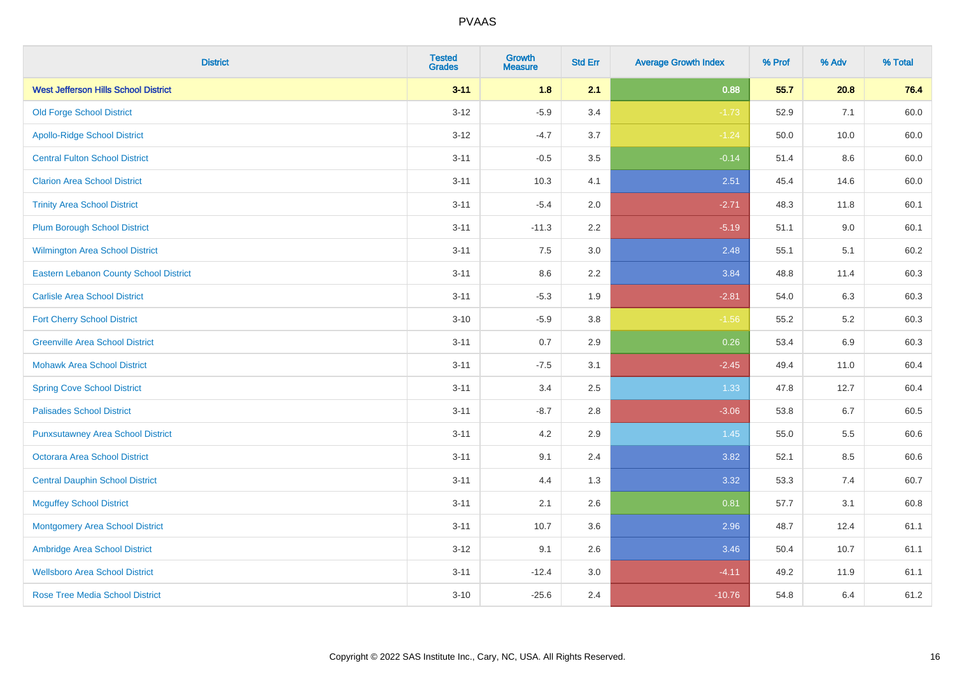| <b>District</b>                               | <b>Tested</b><br><b>Grades</b> | <b>Growth</b><br><b>Measure</b> | <b>Std Err</b> | <b>Average Growth Index</b> | % Prof | % Adv   | % Total |
|-----------------------------------------------|--------------------------------|---------------------------------|----------------|-----------------------------|--------|---------|---------|
| <b>West Jefferson Hills School District</b>   | $3 - 11$                       | 1.8                             | 2.1            | 0.88                        | 55.7   | 20.8    | 76.4    |
| <b>Old Forge School District</b>              | $3 - 12$                       | $-5.9$                          | 3.4            | $-1.73$                     | 52.9   | 7.1     | 60.0    |
| <b>Apollo-Ridge School District</b>           | $3-12$                         | $-4.7$                          | 3.7            | $-1.24$                     | 50.0   | 10.0    | 60.0    |
| <b>Central Fulton School District</b>         | $3 - 11$                       | $-0.5$                          | 3.5            | $-0.14$                     | 51.4   | 8.6     | 60.0    |
| <b>Clarion Area School District</b>           | $3 - 11$                       | 10.3                            | 4.1            | 2.51                        | 45.4   | 14.6    | 60.0    |
| <b>Trinity Area School District</b>           | $3 - 11$                       | $-5.4$                          | 2.0            | $-2.71$                     | 48.3   | 11.8    | 60.1    |
| <b>Plum Borough School District</b>           | $3 - 11$                       | $-11.3$                         | 2.2            | $-5.19$                     | 51.1   | $9.0\,$ | 60.1    |
| <b>Wilmington Area School District</b>        | $3 - 11$                       | 7.5                             | 3.0            | 2.48                        | 55.1   | 5.1     | 60.2    |
| <b>Eastern Lebanon County School District</b> | $3 - 11$                       | 8.6                             | 2.2            | 3.84                        | 48.8   | 11.4    | 60.3    |
| <b>Carlisle Area School District</b>          | $3 - 11$                       | $-5.3$                          | 1.9            | $-2.81$                     | 54.0   | 6.3     | 60.3    |
| <b>Fort Cherry School District</b>            | $3 - 10$                       | $-5.9$                          | 3.8            | $-1.56$                     | 55.2   | $5.2\,$ | 60.3    |
| <b>Greenville Area School District</b>        | $3 - 11$                       | 0.7                             | 2.9            | 0.26                        | 53.4   | 6.9     | 60.3    |
| <b>Mohawk Area School District</b>            | $3 - 11$                       | $-7.5$                          | 3.1            | $-2.45$                     | 49.4   | 11.0    | 60.4    |
| <b>Spring Cove School District</b>            | $3 - 11$                       | 3.4                             | 2.5            | 1.33                        | 47.8   | 12.7    | 60.4    |
| <b>Palisades School District</b>              | $3 - 11$                       | $-8.7$                          | 2.8            | $-3.06$                     | 53.8   | 6.7     | 60.5    |
| <b>Punxsutawney Area School District</b>      | $3 - 11$                       | 4.2                             | 2.9            | 1.45                        | 55.0   | 5.5     | 60.6    |
| <b>Octorara Area School District</b>          | $3 - 11$                       | 9.1                             | 2.4            | 3.82                        | 52.1   | 8.5     | 60.6    |
| <b>Central Dauphin School District</b>        | $3 - 11$                       | 4.4                             | 1.3            | 3.32                        | 53.3   | 7.4     | 60.7    |
| <b>Mcguffey School District</b>               | $3 - 11$                       | 2.1                             | 2.6            | 0.81                        | 57.7   | 3.1     | 60.8    |
| <b>Montgomery Area School District</b>        | $3 - 11$                       | 10.7                            | 3.6            | 2.96                        | 48.7   | 12.4    | 61.1    |
| Ambridge Area School District                 | $3 - 12$                       | 9.1                             | 2.6            | 3.46                        | 50.4   | 10.7    | 61.1    |
| <b>Wellsboro Area School District</b>         | $3 - 11$                       | $-12.4$                         | 3.0            | $-4.11$                     | 49.2   | 11.9    | 61.1    |
| <b>Rose Tree Media School District</b>        | $3 - 10$                       | $-25.6$                         | 2.4            | $-10.76$                    | 54.8   | 6.4     | 61.2    |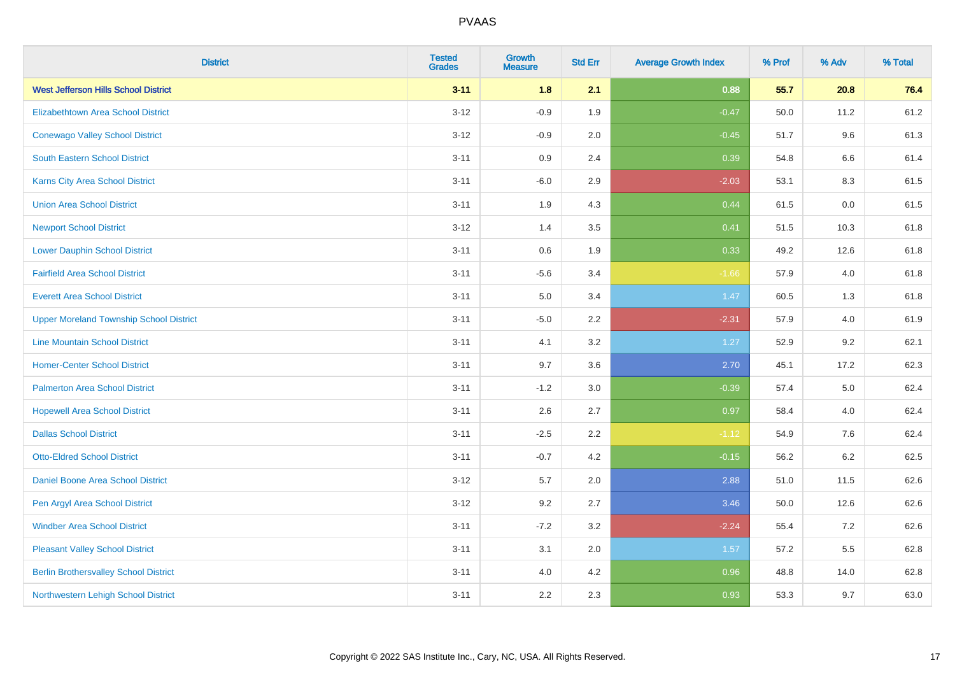| <b>District</b>                                | <b>Tested</b><br><b>Grades</b> | <b>Growth</b><br><b>Measure</b> | <b>Std Err</b> | <b>Average Growth Index</b> | % Prof | % Adv   | % Total |
|------------------------------------------------|--------------------------------|---------------------------------|----------------|-----------------------------|--------|---------|---------|
| <b>West Jefferson Hills School District</b>    | $3 - 11$                       | 1.8                             | 2.1            | 0.88                        | 55.7   | 20.8    | 76.4    |
| <b>Elizabethtown Area School District</b>      | $3 - 12$                       | $-0.9$                          | 1.9            | $-0.47$                     | 50.0   | 11.2    | 61.2    |
| <b>Conewago Valley School District</b>         | $3 - 12$                       | $-0.9$                          | 2.0            | $-0.45$                     | 51.7   | 9.6     | 61.3    |
| South Eastern School District                  | $3 - 11$                       | 0.9                             | 2.4            | 0.39                        | 54.8   | 6.6     | 61.4    |
| <b>Karns City Area School District</b>         | $3 - 11$                       | $-6.0$                          | 2.9            | $-2.03$                     | 53.1   | 8.3     | 61.5    |
| <b>Union Area School District</b>              | $3 - 11$                       | 1.9                             | 4.3            | 0.44                        | 61.5   | 0.0     | 61.5    |
| <b>Newport School District</b>                 | $3 - 12$                       | 1.4                             | 3.5            | 0.41                        | 51.5   | 10.3    | 61.8    |
| <b>Lower Dauphin School District</b>           | $3 - 11$                       | 0.6                             | 1.9            | 0.33                        | 49.2   | 12.6    | 61.8    |
| <b>Fairfield Area School District</b>          | $3 - 11$                       | $-5.6$                          | 3.4            | $-1.66$                     | 57.9   | 4.0     | 61.8    |
| <b>Everett Area School District</b>            | $3 - 11$                       | 5.0                             | 3.4            | 1.47                        | 60.5   | 1.3     | 61.8    |
| <b>Upper Moreland Township School District</b> | $3 - 11$                       | $-5.0$                          | 2.2            | $-2.31$                     | 57.9   | 4.0     | 61.9    |
| <b>Line Mountain School District</b>           | $3 - 11$                       | 4.1                             | 3.2            | 1.27                        | 52.9   | 9.2     | 62.1    |
| <b>Homer-Center School District</b>            | $3 - 11$                       | 9.7                             | 3.6            | 2.70                        | 45.1   | 17.2    | 62.3    |
| <b>Palmerton Area School District</b>          | $3 - 11$                       | $-1.2$                          | 3.0            | $-0.39$                     | 57.4   | 5.0     | 62.4    |
| <b>Hopewell Area School District</b>           | $3 - 11$                       | 2.6                             | 2.7            | 0.97                        | 58.4   | 4.0     | 62.4    |
| <b>Dallas School District</b>                  | $3 - 11$                       | $-2.5$                          | 2.2            | $-1.12$                     | 54.9   | 7.6     | 62.4    |
| <b>Otto-Eldred School District</b>             | $3 - 11$                       | $-0.7$                          | 4.2            | $-0.15$                     | 56.2   | $6.2\,$ | 62.5    |
| <b>Daniel Boone Area School District</b>       | $3 - 12$                       | 5.7                             | 2.0            | 2.88                        | 51.0   | 11.5    | 62.6    |
| Pen Argyl Area School District                 | $3 - 12$                       | 9.2                             | 2.7            | 3.46                        | 50.0   | 12.6    | 62.6    |
| <b>Windber Area School District</b>            | $3 - 11$                       | $-7.2$                          | 3.2            | $-2.24$                     | 55.4   | 7.2     | 62.6    |
| <b>Pleasant Valley School District</b>         | $3 - 11$                       | 3.1                             | 2.0            | 1.57                        | 57.2   | 5.5     | 62.8    |
| <b>Berlin Brothersvalley School District</b>   | $3 - 11$                       | 4.0                             | 4.2            | 0.96                        | 48.8   | 14.0    | 62.8    |
| Northwestern Lehigh School District            | $3 - 11$                       | 2.2                             | 2.3            | 0.93                        | 53.3   | 9.7     | 63.0    |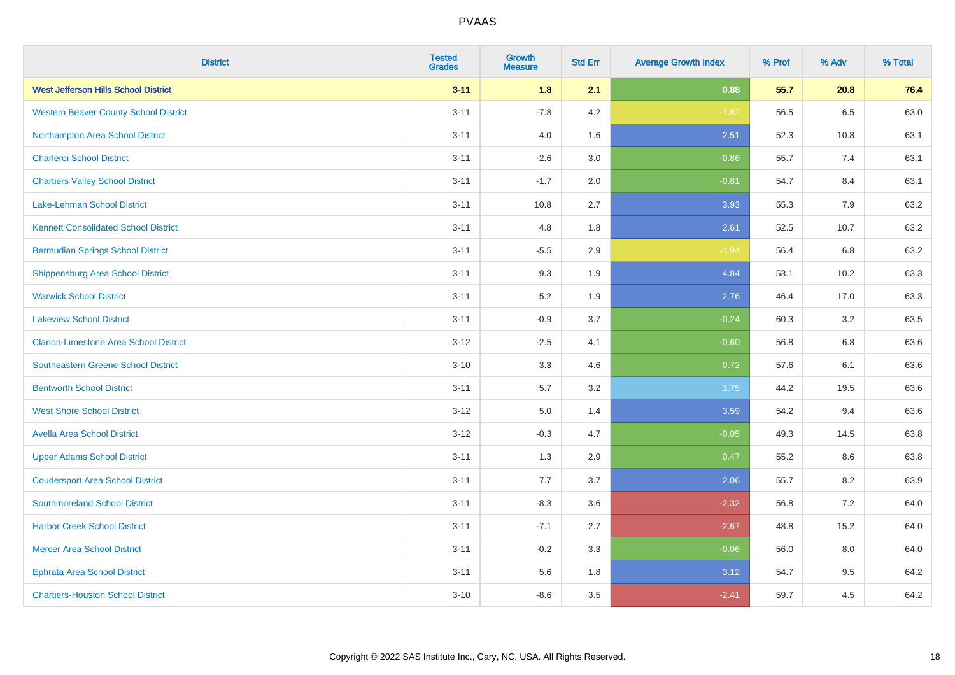| <b>District</b>                               | <b>Tested</b><br><b>Grades</b> | <b>Growth</b><br><b>Measure</b> | <b>Std Err</b> | <b>Average Growth Index</b> | % Prof | % Adv | % Total |
|-----------------------------------------------|--------------------------------|---------------------------------|----------------|-----------------------------|--------|-------|---------|
| <b>West Jefferson Hills School District</b>   | $3 - 11$                       | 1.8                             | 2.1            | 0.88                        | 55.7   | 20.8  | 76.4    |
| <b>Western Beaver County School District</b>  | $3 - 11$                       | $-7.8$                          | 4.2            | $-1.87$                     | 56.5   | 6.5   | 63.0    |
| Northampton Area School District              | $3 - 11$                       | 4.0                             | 1.6            | 2.51                        | 52.3   | 10.8  | 63.1    |
| <b>Charleroi School District</b>              | $3 - 11$                       | $-2.6$                          | 3.0            | $-0.86$                     | 55.7   | 7.4   | 63.1    |
| <b>Chartiers Valley School District</b>       | $3 - 11$                       | $-1.7$                          | 2.0            | $-0.81$                     | 54.7   | 8.4   | 63.1    |
| <b>Lake-Lehman School District</b>            | $3 - 11$                       | 10.8                            | 2.7            | 3.93                        | 55.3   | 7.9   | 63.2    |
| <b>Kennett Consolidated School District</b>   | $3 - 11$                       | 4.8                             | 1.8            | 2.61                        | 52.5   | 10.7  | 63.2    |
| <b>Bermudian Springs School District</b>      | $3 - 11$                       | $-5.5$                          | 2.9            | $-1.94$                     | 56.4   | 6.8   | 63.2    |
| <b>Shippensburg Area School District</b>      | $3 - 11$                       | 9.3                             | 1.9            | 4.84                        | 53.1   | 10.2  | 63.3    |
| <b>Warwick School District</b>                | $3 - 11$                       | 5.2                             | 1.9            | 2.76                        | 46.4   | 17.0  | 63.3    |
| <b>Lakeview School District</b>               | $3 - 11$                       | $-0.9$                          | 3.7            | $-0.24$                     | 60.3   | 3.2   | 63.5    |
| <b>Clarion-Limestone Area School District</b> | $3 - 12$                       | $-2.5$                          | 4.1            | $-0.60$                     | 56.8   | 6.8   | 63.6    |
| Southeastern Greene School District           | $3 - 10$                       | 3.3                             | 4.6            | 0.72                        | 57.6   | 6.1   | 63.6    |
| <b>Bentworth School District</b>              | $3 - 11$                       | 5.7                             | 3.2            | 1.75                        | 44.2   | 19.5  | 63.6    |
| <b>West Shore School District</b>             | $3 - 12$                       | 5.0                             | 1.4            | 3.59                        | 54.2   | 9.4   | 63.6    |
| <b>Avella Area School District</b>            | $3 - 12$                       | $-0.3$                          | 4.7            | $-0.05$                     | 49.3   | 14.5  | 63.8    |
| <b>Upper Adams School District</b>            | $3 - 11$                       | 1.3                             | 2.9            | 0.47                        | 55.2   | 8.6   | 63.8    |
| <b>Coudersport Area School District</b>       | $3 - 11$                       | 7.7                             | 3.7            | 2.06                        | 55.7   | 8.2   | 63.9    |
| <b>Southmoreland School District</b>          | $3 - 11$                       | $-8.3$                          | 3.6            | $-2.32$                     | 56.8   | 7.2   | 64.0    |
| <b>Harbor Creek School District</b>           | $3 - 11$                       | $-7.1$                          | 2.7            | $-2.67$                     | 48.8   | 15.2  | 64.0    |
| <b>Mercer Area School District</b>            | $3 - 11$                       | $-0.2$                          | 3.3            | $-0.06$                     | 56.0   | 8.0   | 64.0    |
| <b>Ephrata Area School District</b>           | $3 - 11$                       | 5.6                             | 1.8            | 3.12                        | 54.7   | 9.5   | 64.2    |
| <b>Chartiers-Houston School District</b>      | $3 - 10$                       | $-8.6$                          | 3.5            | $-2.41$                     | 59.7   | 4.5   | 64.2    |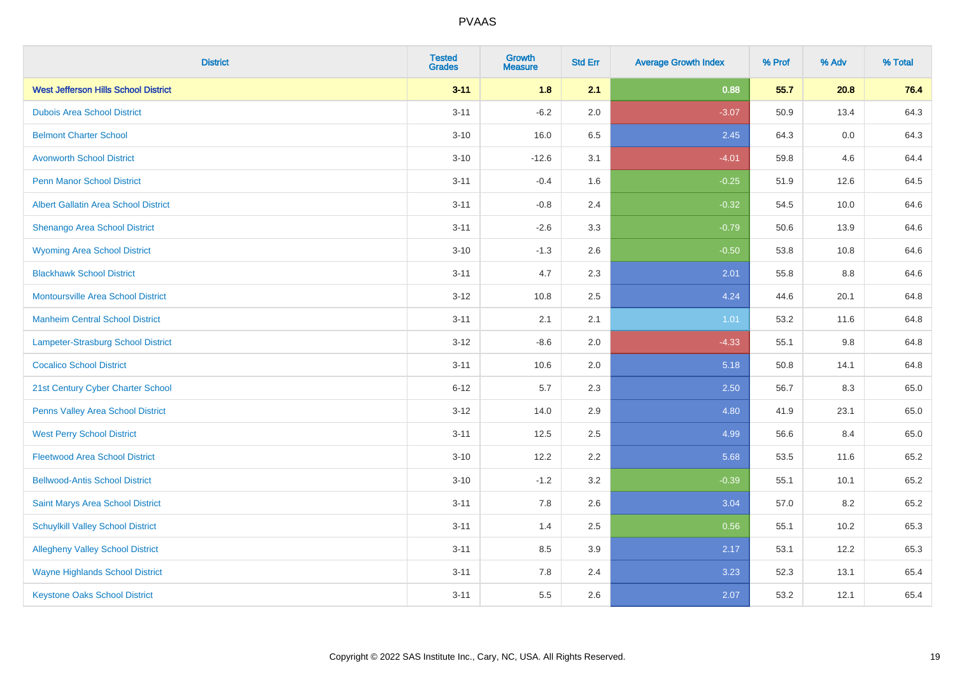| <b>District</b>                             | <b>Tested</b><br><b>Grades</b> | <b>Growth</b><br><b>Measure</b> | <b>Std Err</b> | <b>Average Growth Index</b> | % Prof | % Adv | % Total |
|---------------------------------------------|--------------------------------|---------------------------------|----------------|-----------------------------|--------|-------|---------|
| <b>West Jefferson Hills School District</b> | $3 - 11$                       | 1.8                             | 2.1            | 0.88                        | 55.7   | 20.8  | 76.4    |
| <b>Dubois Area School District</b>          | $3 - 11$                       | $-6.2$                          | 2.0            | $-3.07$                     | 50.9   | 13.4  | 64.3    |
| <b>Belmont Charter School</b>               | $3 - 10$                       | 16.0                            | 6.5            | 2.45                        | 64.3   | 0.0   | 64.3    |
| <b>Avonworth School District</b>            | $3 - 10$                       | $-12.6$                         | 3.1            | $-4.01$                     | 59.8   | 4.6   | 64.4    |
| <b>Penn Manor School District</b>           | $3 - 11$                       | $-0.4$                          | 1.6            | $-0.25$                     | 51.9   | 12.6  | 64.5    |
| <b>Albert Gallatin Area School District</b> | $3 - 11$                       | $-0.8$                          | 2.4            | $-0.32$                     | 54.5   | 10.0  | 64.6    |
| Shenango Area School District               | $3 - 11$                       | $-2.6$                          | 3.3            | $-0.79$                     | 50.6   | 13.9  | 64.6    |
| <b>Wyoming Area School District</b>         | $3 - 10$                       | $-1.3$                          | 2.6            | $-0.50$                     | 53.8   | 10.8  | 64.6    |
| <b>Blackhawk School District</b>            | $3 - 11$                       | 4.7                             | 2.3            | 2.01                        | 55.8   | 8.8   | 64.6    |
| <b>Montoursville Area School District</b>   | $3 - 12$                       | 10.8                            | 2.5            | 4.24                        | 44.6   | 20.1  | 64.8    |
| <b>Manheim Central School District</b>      | $3 - 11$                       | 2.1                             | 2.1            | 1.01                        | 53.2   | 11.6  | 64.8    |
| Lampeter-Strasburg School District          | $3 - 12$                       | $-8.6$                          | 2.0            | $-4.33$                     | 55.1   | 9.8   | 64.8    |
| <b>Cocalico School District</b>             | $3 - 11$                       | 10.6                            | 2.0            | 5.18                        | 50.8   | 14.1  | 64.8    |
| 21st Century Cyber Charter School           | $6 - 12$                       | 5.7                             | 2.3            | 2.50                        | 56.7   | 8.3   | 65.0    |
| Penns Valley Area School District           | $3 - 12$                       | 14.0                            | 2.9            | 4.80                        | 41.9   | 23.1  | 65.0    |
| <b>West Perry School District</b>           | $3 - 11$                       | 12.5                            | 2.5            | 4.99                        | 56.6   | 8.4   | 65.0    |
| <b>Fleetwood Area School District</b>       | $3 - 10$                       | 12.2                            | 2.2            | 5.68                        | 53.5   | 11.6  | 65.2    |
| <b>Bellwood-Antis School District</b>       | $3 - 10$                       | $-1.2$                          | 3.2            | $-0.39$                     | 55.1   | 10.1  | 65.2    |
| Saint Marys Area School District            | $3 - 11$                       | 7.8                             | 2.6            | 3.04                        | 57.0   | 8.2   | 65.2    |
| <b>Schuylkill Valley School District</b>    | $3 - 11$                       | 1.4                             | 2.5            | 0.56                        | 55.1   | 10.2  | 65.3    |
| <b>Allegheny Valley School District</b>     | $3 - 11$                       | 8.5                             | 3.9            | 2.17                        | 53.1   | 12.2  | 65.3    |
| <b>Wayne Highlands School District</b>      | $3 - 11$                       | 7.8                             | 2.4            | 3.23                        | 52.3   | 13.1  | 65.4    |
| <b>Keystone Oaks School District</b>        | $3 - 11$                       | 5.5                             | 2.6            | 2.07                        | 53.2   | 12.1  | 65.4    |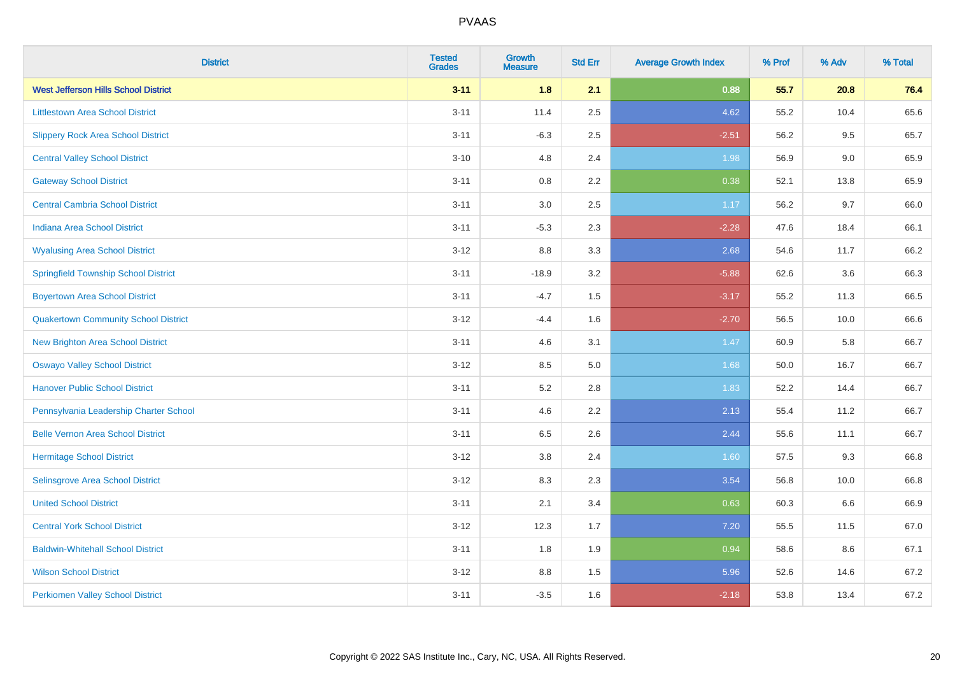| <b>District</b>                             | <b>Tested</b><br><b>Grades</b> | <b>Growth</b><br><b>Measure</b> | <b>Std Err</b> | <b>Average Growth Index</b> | % Prof | % Adv | % Total |
|---------------------------------------------|--------------------------------|---------------------------------|----------------|-----------------------------|--------|-------|---------|
| <b>West Jefferson Hills School District</b> | $3 - 11$                       | 1.8                             | 2.1            | 0.88                        | 55.7   | 20.8  | 76.4    |
| <b>Littlestown Area School District</b>     | $3 - 11$                       | 11.4                            | 2.5            | 4.62                        | 55.2   | 10.4  | 65.6    |
| <b>Slippery Rock Area School District</b>   | $3 - 11$                       | $-6.3$                          | 2.5            | $-2.51$                     | 56.2   | 9.5   | 65.7    |
| <b>Central Valley School District</b>       | $3 - 10$                       | 4.8                             | 2.4            | 1.98                        | 56.9   | 9.0   | 65.9    |
| <b>Gateway School District</b>              | $3 - 11$                       | 0.8                             | 2.2            | 0.38                        | 52.1   | 13.8  | 65.9    |
| <b>Central Cambria School District</b>      | $3 - 11$                       | 3.0                             | 2.5            | 1.17                        | 56.2   | 9.7   | 66.0    |
| Indiana Area School District                | $3 - 11$                       | $-5.3$                          | 2.3            | $-2.28$                     | 47.6   | 18.4  | 66.1    |
| <b>Wyalusing Area School District</b>       | $3 - 12$                       | 8.8                             | 3.3            | 2.68                        | 54.6   | 11.7  | 66.2    |
| <b>Springfield Township School District</b> | $3 - 11$                       | $-18.9$                         | 3.2            | $-5.88$                     | 62.6   | 3.6   | 66.3    |
| <b>Boyertown Area School District</b>       | $3 - 11$                       | $-4.7$                          | 1.5            | $-3.17$                     | 55.2   | 11.3  | 66.5    |
| <b>Quakertown Community School District</b> | $3 - 12$                       | $-4.4$                          | 1.6            | $-2.70$                     | 56.5   | 10.0  | 66.6    |
| <b>New Brighton Area School District</b>    | $3 - 11$                       | 4.6                             | 3.1            | 1.47                        | 60.9   | 5.8   | 66.7    |
| <b>Oswayo Valley School District</b>        | $3 - 12$                       | 8.5                             | $5.0\,$        | 1.68                        | 50.0   | 16.7  | 66.7    |
| <b>Hanover Public School District</b>       | $3 - 11$                       | 5.2                             | 2.8            | 1.83                        | 52.2   | 14.4  | 66.7    |
| Pennsylvania Leadership Charter School      | $3 - 11$                       | 4.6                             | 2.2            | 2.13                        | 55.4   | 11.2  | 66.7    |
| <b>Belle Vernon Area School District</b>    | $3 - 11$                       | 6.5                             | 2.6            | 2.44                        | 55.6   | 11.1  | 66.7    |
| <b>Hermitage School District</b>            | $3 - 12$                       | $3.8\,$                         | 2.4            | 1.60                        | 57.5   | 9.3   | 66.8    |
| Selinsgrove Area School District            | $3 - 12$                       | 8.3                             | 2.3            | 3.54                        | 56.8   | 10.0  | 66.8    |
| <b>United School District</b>               | $3 - 11$                       | 2.1                             | 3.4            | 0.63                        | 60.3   | 6.6   | 66.9    |
| <b>Central York School District</b>         | $3 - 12$                       | 12.3                            | 1.7            | 7.20                        | 55.5   | 11.5  | 67.0    |
| <b>Baldwin-Whitehall School District</b>    | $3 - 11$                       | 1.8                             | 1.9            | 0.94                        | 58.6   | 8.6   | 67.1    |
| <b>Wilson School District</b>               | $3 - 12$                       | 8.8                             | 1.5            | 5.96                        | 52.6   | 14.6  | 67.2    |
| <b>Perkiomen Valley School District</b>     | $3 - 11$                       | $-3.5$                          | 1.6            | $-2.18$                     | 53.8   | 13.4  | 67.2    |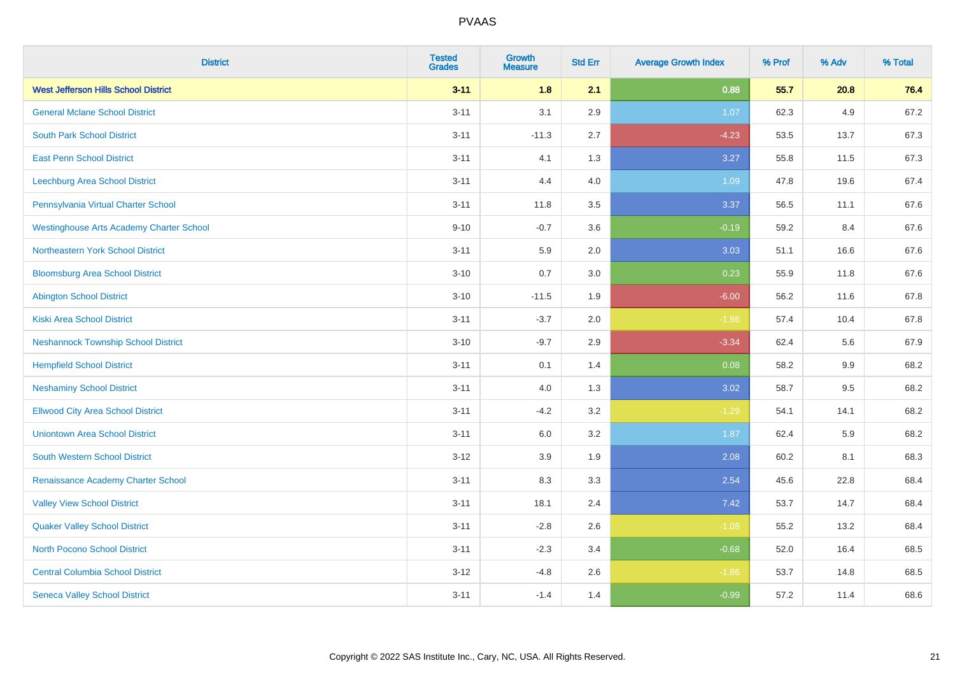| <b>District</b>                                 | <b>Tested</b><br><b>Grades</b> | <b>Growth</b><br><b>Measure</b> | <b>Std Err</b> | <b>Average Growth Index</b> | % Prof | % Adv   | % Total |
|-------------------------------------------------|--------------------------------|---------------------------------|----------------|-----------------------------|--------|---------|---------|
| <b>West Jefferson Hills School District</b>     | $3 - 11$                       | 1.8                             | 2.1            | 0.88                        | 55.7   | 20.8    | 76.4    |
| <b>General Mclane School District</b>           | $3 - 11$                       | 3.1                             | 2.9            | 1.07                        | 62.3   | 4.9     | 67.2    |
| <b>South Park School District</b>               | $3 - 11$                       | $-11.3$                         | 2.7            | $-4.23$                     | 53.5   | 13.7    | 67.3    |
| <b>East Penn School District</b>                | $3 - 11$                       | 4.1                             | 1.3            | 3.27                        | 55.8   | 11.5    | 67.3    |
| Leechburg Area School District                  | $3 - 11$                       | 4.4                             | 4.0            | 1.09                        | 47.8   | 19.6    | 67.4    |
| Pennsylvania Virtual Charter School             | $3 - 11$                       | 11.8                            | 3.5            | 3.37                        | 56.5   | 11.1    | 67.6    |
| <b>Westinghouse Arts Academy Charter School</b> | $9 - 10$                       | $-0.7$                          | 3.6            | $-0.19$                     | 59.2   | 8.4     | 67.6    |
| <b>Northeastern York School District</b>        | $3 - 11$                       | 5.9                             | 2.0            | 3.03                        | 51.1   | 16.6    | 67.6    |
| <b>Bloomsburg Area School District</b>          | $3 - 10$                       | 0.7                             | 3.0            | 0.23                        | 55.9   | 11.8    | 67.6    |
| <b>Abington School District</b>                 | $3 - 10$                       | $-11.5$                         | 1.9            | $-6.00$                     | 56.2   | 11.6    | 67.8    |
| <b>Kiski Area School District</b>               | $3 - 11$                       | $-3.7$                          | 2.0            | $-1.86$                     | 57.4   | 10.4    | 67.8    |
| <b>Neshannock Township School District</b>      | $3 - 10$                       | $-9.7$                          | 2.9            | $-3.34$                     | 62.4   | 5.6     | 67.9    |
| <b>Hempfield School District</b>                | $3 - 11$                       | 0.1                             | 1.4            | 0.08                        | 58.2   | $9.9\,$ | 68.2    |
| <b>Neshaminy School District</b>                | $3 - 11$                       | 4.0                             | 1.3            | 3.02                        | 58.7   | 9.5     | 68.2    |
| <b>Ellwood City Area School District</b>        | $3 - 11$                       | $-4.2$                          | 3.2            | $-1.29$                     | 54.1   | 14.1    | 68.2    |
| <b>Uniontown Area School District</b>           | $3 - 11$                       | 6.0                             | 3.2            | 1.87                        | 62.4   | 5.9     | 68.2    |
| <b>South Western School District</b>            | $3 - 12$                       | 3.9                             | 1.9            | 2.08                        | 60.2   | 8.1     | 68.3    |
| Renaissance Academy Charter School              | $3 - 11$                       | 8.3                             | 3.3            | 2.54                        | 45.6   | 22.8    | 68.4    |
| <b>Valley View School District</b>              | $3 - 11$                       | 18.1                            | 2.4            | 7.42                        | 53.7   | 14.7    | 68.4    |
| <b>Quaker Valley School District</b>            | $3 - 11$                       | $-2.8$                          | 2.6            | $-1.08$                     | 55.2   | 13.2    | 68.4    |
| <b>North Pocono School District</b>             | $3 - 11$                       | $-2.3$                          | 3.4            | $-0.68$                     | 52.0   | 16.4    | 68.5    |
| <b>Central Columbia School District</b>         | $3 - 12$                       | $-4.8$                          | 2.6            | $-1.86$                     | 53.7   | 14.8    | 68.5    |
| <b>Seneca Valley School District</b>            | $3 - 11$                       | $-1.4$                          | 1.4            | $-0.99$                     | 57.2   | 11.4    | 68.6    |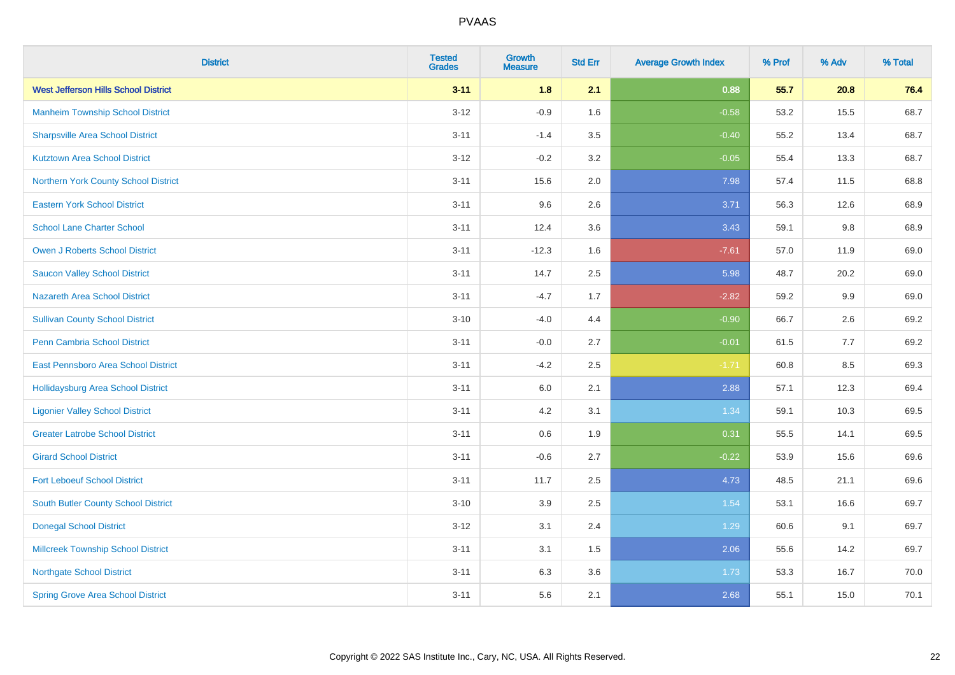| <b>District</b>                             | <b>Tested</b><br><b>Grades</b> | <b>Growth</b><br><b>Measure</b> | <b>Std Err</b> | <b>Average Growth Index</b> | % Prof | % Adv | % Total |
|---------------------------------------------|--------------------------------|---------------------------------|----------------|-----------------------------|--------|-------|---------|
| <b>West Jefferson Hills School District</b> | $3 - 11$                       | 1.8                             | 2.1            | 0.88                        | 55.7   | 20.8  | 76.4    |
| <b>Manheim Township School District</b>     | $3 - 12$                       | $-0.9$                          | 1.6            | $-0.58$                     | 53.2   | 15.5  | 68.7    |
| <b>Sharpsville Area School District</b>     | $3 - 11$                       | $-1.4$                          | 3.5            | $-0.40$                     | 55.2   | 13.4  | 68.7    |
| <b>Kutztown Area School District</b>        | $3 - 12$                       | $-0.2$                          | 3.2            | $-0.05$                     | 55.4   | 13.3  | 68.7    |
| Northern York County School District        | $3 - 11$                       | 15.6                            | 2.0            | 7.98                        | 57.4   | 11.5  | 68.8    |
| <b>Eastern York School District</b>         | $3 - 11$                       | 9.6                             | 2.6            | 3.71                        | 56.3   | 12.6  | 68.9    |
| <b>School Lane Charter School</b>           | $3 - 11$                       | 12.4                            | 3.6            | 3.43                        | 59.1   | 9.8   | 68.9    |
| <b>Owen J Roberts School District</b>       | $3 - 11$                       | $-12.3$                         | 1.6            | $-7.61$                     | 57.0   | 11.9  | 69.0    |
| <b>Saucon Valley School District</b>        | $3 - 11$                       | 14.7                            | 2.5            | 5.98                        | 48.7   | 20.2  | 69.0    |
| Nazareth Area School District               | $3 - 11$                       | $-4.7$                          | 1.7            | $-2.82$                     | 59.2   | 9.9   | 69.0    |
| <b>Sullivan County School District</b>      | $3 - 10$                       | $-4.0$                          | 4.4            | $-0.90$                     | 66.7   | 2.6   | 69.2    |
| Penn Cambria School District                | $3 - 11$                       | $-0.0$                          | 2.7            | $-0.01$                     | 61.5   | 7.7   | 69.2    |
| East Pennsboro Area School District         | $3 - 11$                       | $-4.2$                          | 2.5            | $-1.71$                     | 60.8   | 8.5   | 69.3    |
| <b>Hollidaysburg Area School District</b>   | $3 - 11$                       | 6.0                             | 2.1            | 2.88                        | 57.1   | 12.3  | 69.4    |
| <b>Ligonier Valley School District</b>      | $3 - 11$                       | 4.2                             | 3.1            | 1.34                        | 59.1   | 10.3  | 69.5    |
| <b>Greater Latrobe School District</b>      | $3 - 11$                       | 0.6                             | 1.9            | 0.31                        | 55.5   | 14.1  | 69.5    |
| <b>Girard School District</b>               | $3 - 11$                       | $-0.6$                          | 2.7            | $-0.22$                     | 53.9   | 15.6  | 69.6    |
| <b>Fort Leboeuf School District</b>         | $3 - 11$                       | 11.7                            | 2.5            | 4.73                        | 48.5   | 21.1  | 69.6    |
| <b>South Butler County School District</b>  | $3 - 10$                       | 3.9                             | 2.5            | 1.54                        | 53.1   | 16.6  | 69.7    |
| <b>Donegal School District</b>              | $3 - 12$                       | 3.1                             | 2.4            | 1.29                        | 60.6   | 9.1   | 69.7    |
| <b>Millcreek Township School District</b>   | $3 - 11$                       | 3.1                             | 1.5            | 2.06                        | 55.6   | 14.2  | 69.7    |
| <b>Northgate School District</b>            | $3 - 11$                       | 6.3                             | 3.6            | 1.73                        | 53.3   | 16.7  | 70.0    |
| <b>Spring Grove Area School District</b>    | $3 - 11$                       | 5.6                             | 2.1            | 2.68                        | 55.1   | 15.0  | 70.1    |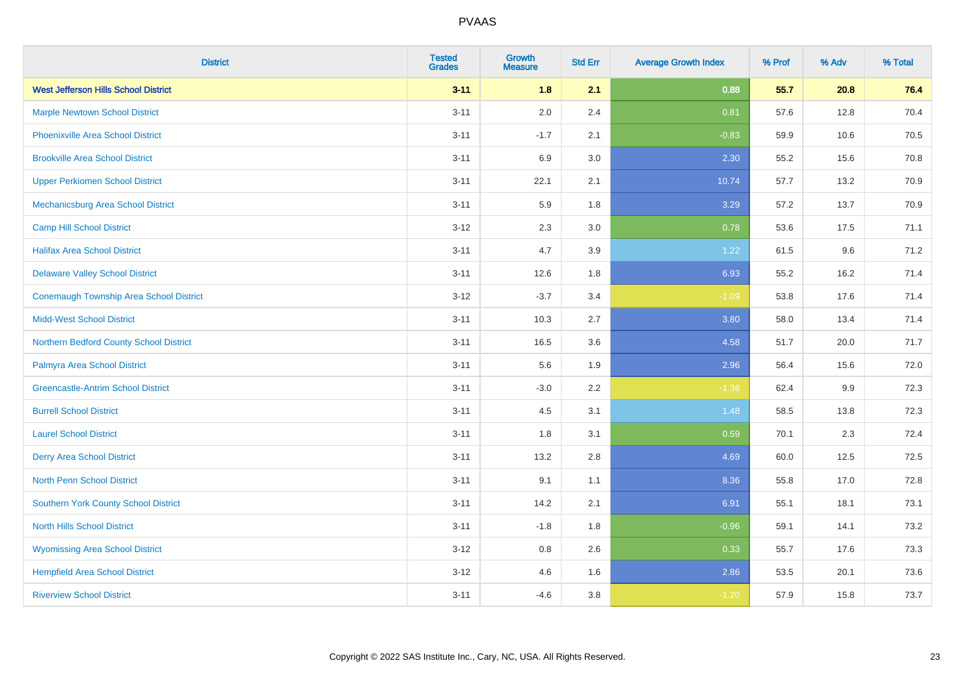| <b>District</b>                                | <b>Tested</b><br><b>Grades</b> | <b>Growth</b><br><b>Measure</b> | <b>Std Err</b> | <b>Average Growth Index</b> | % Prof | % Adv | % Total |
|------------------------------------------------|--------------------------------|---------------------------------|----------------|-----------------------------|--------|-------|---------|
| <b>West Jefferson Hills School District</b>    | $3 - 11$                       | 1.8                             | 2.1            | 0.88                        | 55.7   | 20.8  | 76.4    |
| <b>Marple Newtown School District</b>          | $3 - 11$                       | 2.0                             | 2.4            | 0.81                        | 57.6   | 12.8  | 70.4    |
| <b>Phoenixville Area School District</b>       | $3 - 11$                       | $-1.7$                          | 2.1            | $-0.83$                     | 59.9   | 10.6  | 70.5    |
| <b>Brookville Area School District</b>         | $3 - 11$                       | 6.9                             | 3.0            | 2.30                        | 55.2   | 15.6  | 70.8    |
| <b>Upper Perkiomen School District</b>         | $3 - 11$                       | 22.1                            | 2.1            | 10.74                       | 57.7   | 13.2  | 70.9    |
| Mechanicsburg Area School District             | $3 - 11$                       | 5.9                             | 1.8            | 3.29                        | 57.2   | 13.7  | 70.9    |
| <b>Camp Hill School District</b>               | $3 - 12$                       | 2.3                             | 3.0            | 0.78                        | 53.6   | 17.5  | 71.1    |
| <b>Halifax Area School District</b>            | $3 - 11$                       | 4.7                             | 3.9            | 1.22                        | 61.5   | 9.6   | 71.2    |
| <b>Delaware Valley School District</b>         | $3 - 11$                       | 12.6                            | 1.8            | 6.93                        | 55.2   | 16.2  | 71.4    |
| <b>Conemaugh Township Area School District</b> | $3 - 12$                       | $-3.7$                          | 3.4            | $-1.09$                     | 53.8   | 17.6  | 71.4    |
| <b>Midd-West School District</b>               | $3 - 11$                       | 10.3                            | 2.7            | 3.80                        | 58.0   | 13.4  | 71.4    |
| Northern Bedford County School District        | $3 - 11$                       | 16.5                            | 3.6            | 4.58                        | 51.7   | 20.0  | 71.7    |
| Palmyra Area School District                   | $3 - 11$                       | 5.6                             | 1.9            | 2.96                        | 56.4   | 15.6  | 72.0    |
| <b>Greencastle-Antrim School District</b>      | $3 - 11$                       | $-3.0$                          | 2.2            | $-1.36$                     | 62.4   | 9.9   | 72.3    |
| <b>Burrell School District</b>                 | $3 - 11$                       | 4.5                             | 3.1            | 1.48                        | 58.5   | 13.8  | 72.3    |
| <b>Laurel School District</b>                  | $3 - 11$                       | 1.8                             | 3.1            | 0.59                        | 70.1   | 2.3   | 72.4    |
| <b>Derry Area School District</b>              | $3 - 11$                       | 13.2                            | 2.8            | 4.69                        | 60.0   | 12.5  | 72.5    |
| <b>North Penn School District</b>              | $3 - 11$                       | 9.1                             | 1.1            | 8.36                        | 55.8   | 17.0  | 72.8    |
| <b>Southern York County School District</b>    | $3 - 11$                       | 14.2                            | 2.1            | 6.91                        | 55.1   | 18.1  | 73.1    |
| <b>North Hills School District</b>             | $3 - 11$                       | $-1.8$                          | 1.8            | $-0.96$                     | 59.1   | 14.1  | 73.2    |
| <b>Wyomissing Area School District</b>         | $3 - 12$                       | 0.8                             | 2.6            | 0.33                        | 55.7   | 17.6  | 73.3    |
| <b>Hempfield Area School District</b>          | $3 - 12$                       | 4.6                             | 1.6            | 2.86                        | 53.5   | 20.1  | 73.6    |
| <b>Riverview School District</b>               | $3 - 11$                       | $-4.6$                          | 3.8            | $-1.20$                     | 57.9   | 15.8  | 73.7    |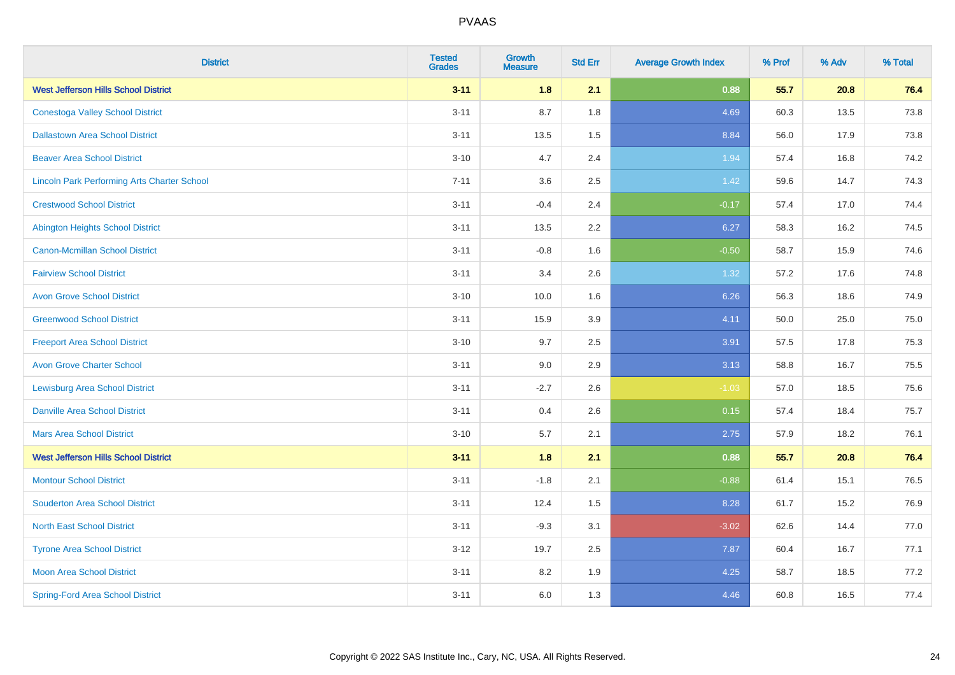| <b>District</b>                                    | <b>Tested</b><br><b>Grades</b> | <b>Growth</b><br><b>Measure</b> | <b>Std Err</b> | <b>Average Growth Index</b> | % Prof | % Adv | % Total |
|----------------------------------------------------|--------------------------------|---------------------------------|----------------|-----------------------------|--------|-------|---------|
| <b>West Jefferson Hills School District</b>        | $3 - 11$                       | 1.8                             | 2.1            | 0.88                        | 55.7   | 20.8  | 76.4    |
| <b>Conestoga Valley School District</b>            | $3 - 11$                       | 8.7                             | 1.8            | 4.69                        | 60.3   | 13.5  | 73.8    |
| <b>Dallastown Area School District</b>             | $3 - 11$                       | 13.5                            | 1.5            | 8.84                        | 56.0   | 17.9  | 73.8    |
| <b>Beaver Area School District</b>                 | $3 - 10$                       | 4.7                             | 2.4            | 1.94                        | 57.4   | 16.8  | 74.2    |
| <b>Lincoln Park Performing Arts Charter School</b> | $7 - 11$                       | 3.6                             | 2.5            | 1.42                        | 59.6   | 14.7  | 74.3    |
| <b>Crestwood School District</b>                   | $3 - 11$                       | $-0.4$                          | 2.4            | $-0.17$                     | 57.4   | 17.0  | 74.4    |
| <b>Abington Heights School District</b>            | $3 - 11$                       | 13.5                            | 2.2            | 6.27                        | 58.3   | 16.2  | 74.5    |
| <b>Canon-Mcmillan School District</b>              | $3 - 11$                       | $-0.8$                          | 1.6            | $-0.50$                     | 58.7   | 15.9  | 74.6    |
| <b>Fairview School District</b>                    | $3 - 11$                       | 3.4                             | 2.6            | 1.32                        | 57.2   | 17.6  | 74.8    |
| <b>Avon Grove School District</b>                  | $3 - 10$                       | 10.0                            | 1.6            | 6.26                        | 56.3   | 18.6  | 74.9    |
| <b>Greenwood School District</b>                   | $3 - 11$                       | 15.9                            | 3.9            | 4.11                        | 50.0   | 25.0  | 75.0    |
| <b>Freeport Area School District</b>               | $3 - 10$                       | 9.7                             | 2.5            | 3.91                        | 57.5   | 17.8  | 75.3    |
| <b>Avon Grove Charter School</b>                   | $3 - 11$                       | 9.0                             | 2.9            | 3.13                        | 58.8   | 16.7  | 75.5    |
| <b>Lewisburg Area School District</b>              | $3 - 11$                       | $-2.7$                          | 2.6            | $-1.03$                     | 57.0   | 18.5  | 75.6    |
| <b>Danville Area School District</b>               | $3 - 11$                       | 0.4                             | 2.6            | 0.15                        | 57.4   | 18.4  | 75.7    |
| <b>Mars Area School District</b>                   | $3 - 10$                       | 5.7                             | 2.1            | 2.75                        | 57.9   | 18.2  | 76.1    |
| <b>West Jefferson Hills School District</b>        | $3 - 11$                       | 1.8                             | 2.1            | 0.88                        | 55.7   | 20.8  | 76.4    |
| <b>Montour School District</b>                     | $3 - 11$                       | $-1.8$                          | 2.1            | $-0.88$                     | 61.4   | 15.1  | 76.5    |
| <b>Souderton Area School District</b>              | $3 - 11$                       | 12.4                            | 1.5            | 8.28                        | 61.7   | 15.2  | 76.9    |
| <b>North East School District</b>                  | $3 - 11$                       | $-9.3$                          | 3.1            | $-3.02$                     | 62.6   | 14.4  | 77.0    |
| <b>Tyrone Area School District</b>                 | $3-12$                         | 19.7                            | 2.5            | 7.87                        | 60.4   | 16.7  | 77.1    |
| <b>Moon Area School District</b>                   | $3 - 11$                       | 8.2                             | 1.9            | 4.25                        | 58.7   | 18.5  | 77.2    |
| <b>Spring-Ford Area School District</b>            | $3 - 11$                       | 6.0                             | 1.3            | 4.46                        | 60.8   | 16.5  | 77.4    |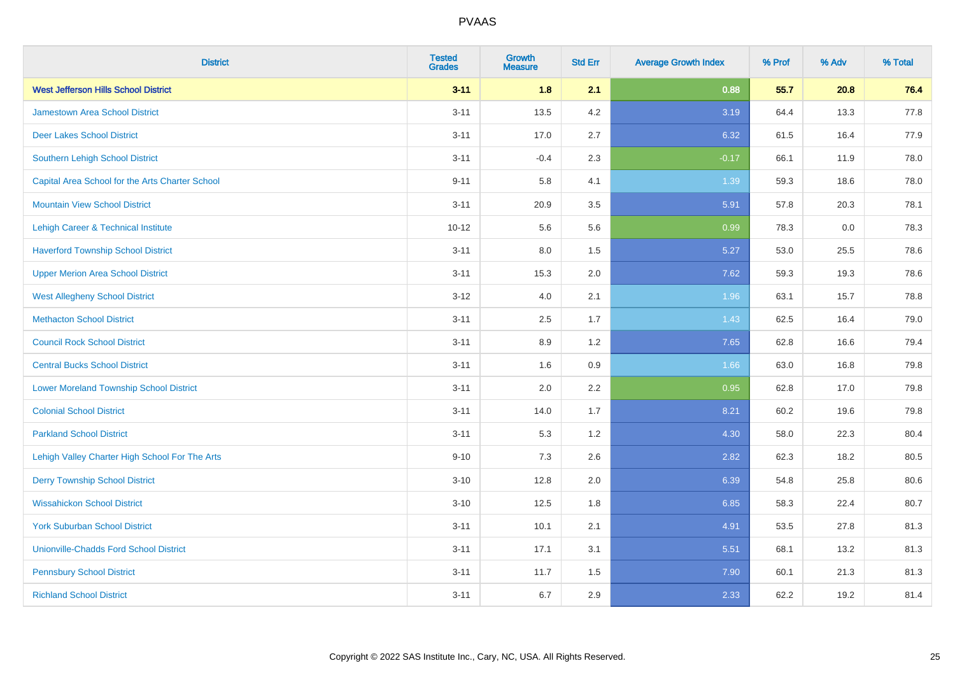| <b>District</b>                                 | <b>Tested</b><br><b>Grades</b> | <b>Growth</b><br><b>Measure</b> | <b>Std Err</b> | <b>Average Growth Index</b> | % Prof | % Adv | % Total |
|-------------------------------------------------|--------------------------------|---------------------------------|----------------|-----------------------------|--------|-------|---------|
| <b>West Jefferson Hills School District</b>     | $3 - 11$                       | 1.8                             | 2.1            | 0.88                        | 55.7   | 20.8  | 76.4    |
| <b>Jamestown Area School District</b>           | $3 - 11$                       | 13.5                            | 4.2            | 3.19                        | 64.4   | 13.3  | 77.8    |
| <b>Deer Lakes School District</b>               | $3 - 11$                       | 17.0                            | 2.7            | 6.32                        | 61.5   | 16.4  | 77.9    |
| Southern Lehigh School District                 | $3 - 11$                       | $-0.4$                          | 2.3            | $-0.17$                     | 66.1   | 11.9  | 78.0    |
| Capital Area School for the Arts Charter School | $9 - 11$                       | 5.8                             | 4.1            | 1.39                        | 59.3   | 18.6  | 78.0    |
| <b>Mountain View School District</b>            | $3 - 11$                       | 20.9                            | 3.5            | 5.91                        | 57.8   | 20.3  | 78.1    |
| Lehigh Career & Technical Institute             | $10 - 12$                      | 5.6                             | 5.6            | 0.99                        | 78.3   | 0.0   | 78.3    |
| <b>Haverford Township School District</b>       | $3 - 11$                       | 8.0                             | 1.5            | 5.27                        | 53.0   | 25.5  | 78.6    |
| <b>Upper Merion Area School District</b>        | $3 - 11$                       | 15.3                            | 2.0            | 7.62                        | 59.3   | 19.3  | 78.6    |
| <b>West Allegheny School District</b>           | $3 - 12$                       | 4.0                             | 2.1            | 1.96                        | 63.1   | 15.7  | 78.8    |
| <b>Methacton School District</b>                | $3 - 11$                       | 2.5                             | 1.7            | 1.43                        | 62.5   | 16.4  | 79.0    |
| <b>Council Rock School District</b>             | $3 - 11$                       | 8.9                             | 1.2            | 7.65                        | 62.8   | 16.6  | 79.4    |
| <b>Central Bucks School District</b>            | $3 - 11$                       | 1.6                             | $0.9\,$        | 1.66                        | 63.0   | 16.8  | 79.8    |
| <b>Lower Moreland Township School District</b>  | $3 - 11$                       | 2.0                             | 2.2            | 0.95                        | 62.8   | 17.0  | 79.8    |
| <b>Colonial School District</b>                 | $3 - 11$                       | 14.0                            | 1.7            | 8.21                        | 60.2   | 19.6  | 79.8    |
| <b>Parkland School District</b>                 | $3 - 11$                       | 5.3                             | 1.2            | 4.30                        | 58.0   | 22.3  | 80.4    |
| Lehigh Valley Charter High School For The Arts  | $9 - 10$                       | 7.3                             | 2.6            | 2.82                        | 62.3   | 18.2  | 80.5    |
| <b>Derry Township School District</b>           | $3 - 10$                       | 12.8                            | 2.0            | 6.39                        | 54.8   | 25.8  | 80.6    |
| <b>Wissahickon School District</b>              | $3 - 10$                       | 12.5                            | 1.8            | 6.85                        | 58.3   | 22.4  | 80.7    |
| <b>York Suburban School District</b>            | $3 - 11$                       | 10.1                            | 2.1            | 4.91                        | 53.5   | 27.8  | 81.3    |
| <b>Unionville-Chadds Ford School District</b>   | $3 - 11$                       | 17.1                            | 3.1            | 5.51                        | 68.1   | 13.2  | 81.3    |
| <b>Pennsbury School District</b>                | $3 - 11$                       | 11.7                            | 1.5            | 7.90                        | 60.1   | 21.3  | 81.3    |
| <b>Richland School District</b>                 | $3 - 11$                       | 6.7                             | 2.9            | 2.33                        | 62.2   | 19.2  | 81.4    |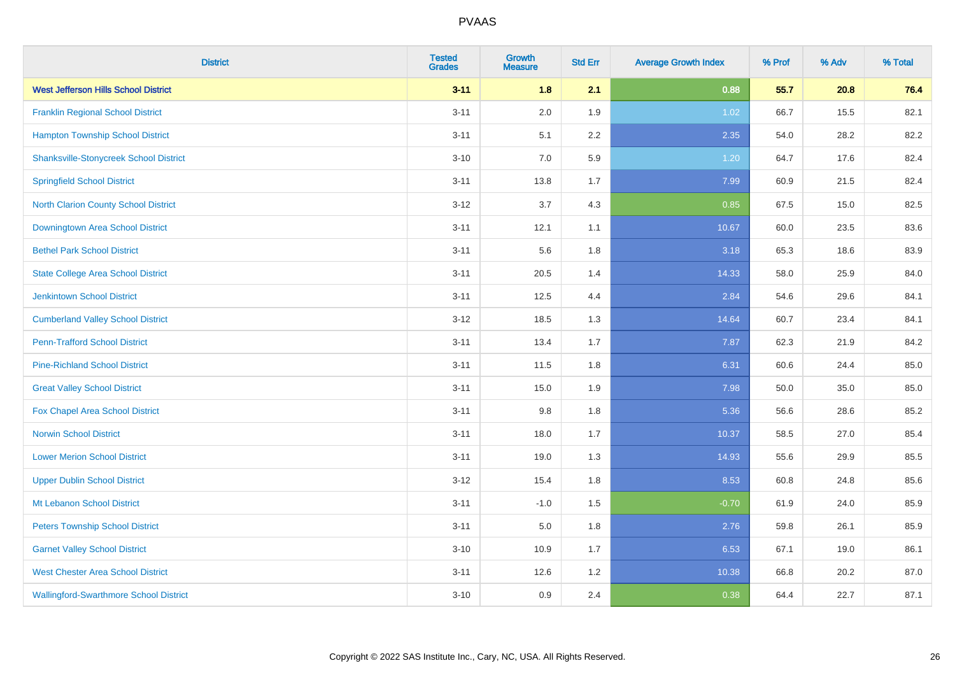| <b>District</b>                               | <b>Tested</b><br><b>Grades</b> | <b>Growth</b><br><b>Measure</b> | <b>Std Err</b> | <b>Average Growth Index</b> | % Prof | % Adv | % Total |
|-----------------------------------------------|--------------------------------|---------------------------------|----------------|-----------------------------|--------|-------|---------|
| <b>West Jefferson Hills School District</b>   | $3 - 11$                       | 1.8                             | 2.1            | 0.88                        | 55.7   | 20.8  | 76.4    |
| <b>Franklin Regional School District</b>      | $3 - 11$                       | 2.0                             | 1.9            | 1.02                        | 66.7   | 15.5  | 82.1    |
| <b>Hampton Township School District</b>       | $3 - 11$                       | 5.1                             | 2.2            | 2.35                        | 54.0   | 28.2  | 82.2    |
| <b>Shanksville-Stonycreek School District</b> | $3 - 10$                       | 7.0                             | 5.9            | 1.20                        | 64.7   | 17.6  | 82.4    |
| <b>Springfield School District</b>            | $3 - 11$                       | 13.8                            | 1.7            | 7.99                        | 60.9   | 21.5  | 82.4    |
| <b>North Clarion County School District</b>   | $3 - 12$                       | 3.7                             | 4.3            | 0.85                        | 67.5   | 15.0  | 82.5    |
| Downingtown Area School District              | $3 - 11$                       | 12.1                            | 1.1            | 10.67                       | 60.0   | 23.5  | 83.6    |
| <b>Bethel Park School District</b>            | $3 - 11$                       | 5.6                             | 1.8            | 3.18                        | 65.3   | 18.6  | 83.9    |
| <b>State College Area School District</b>     | $3 - 11$                       | 20.5                            | 1.4            | 14.33                       | 58.0   | 25.9  | 84.0    |
| <b>Jenkintown School District</b>             | $3 - 11$                       | 12.5                            | 4.4            | 2.84                        | 54.6   | 29.6  | 84.1    |
| <b>Cumberland Valley School District</b>      | $3 - 12$                       | 18.5                            | 1.3            | 14.64                       | 60.7   | 23.4  | 84.1    |
| <b>Penn-Trafford School District</b>          | $3 - 11$                       | 13.4                            | 1.7            | 7.87                        | 62.3   | 21.9  | 84.2    |
| <b>Pine-Richland School District</b>          | $3 - 11$                       | 11.5                            | 1.8            | 6.31                        | 60.6   | 24.4  | 85.0    |
| <b>Great Valley School District</b>           | $3 - 11$                       | 15.0                            | 1.9            | 7.98                        | 50.0   | 35.0  | 85.0    |
| Fox Chapel Area School District               | $3 - 11$                       | 9.8                             | 1.8            | 5.36                        | 56.6   | 28.6  | 85.2    |
| <b>Norwin School District</b>                 | $3 - 11$                       | 18.0                            | 1.7            | 10.37                       | 58.5   | 27.0  | 85.4    |
| <b>Lower Merion School District</b>           | $3 - 11$                       | 19.0                            | 1.3            | 14.93                       | 55.6   | 29.9  | 85.5    |
| <b>Upper Dublin School District</b>           | $3 - 12$                       | 15.4                            | 1.8            | 8.53                        | 60.8   | 24.8  | 85.6    |
| Mt Lebanon School District                    | $3 - 11$                       | $-1.0$                          | 1.5            | $-0.70$                     | 61.9   | 24.0  | 85.9    |
| <b>Peters Township School District</b>        | $3 - 11$                       | 5.0                             | 1.8            | 2.76                        | 59.8   | 26.1  | 85.9    |
| <b>Garnet Valley School District</b>          | $3 - 10$                       | 10.9                            | 1.7            | 6.53                        | 67.1   | 19.0  | 86.1    |
| <b>West Chester Area School District</b>      | $3 - 11$                       | 12.6                            | 1.2            | 10.38                       | 66.8   | 20.2  | 87.0    |
| <b>Wallingford-Swarthmore School District</b> | $3 - 10$                       | 0.9                             | 2.4            | 0.38                        | 64.4   | 22.7  | 87.1    |